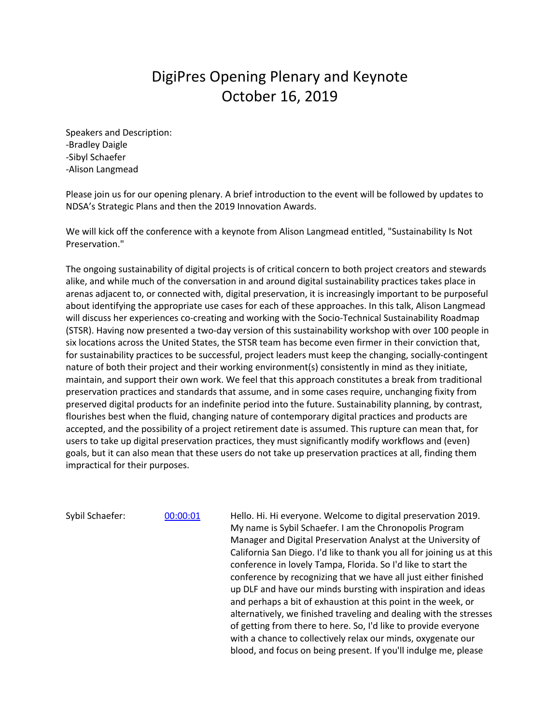## DigiPres Opening Plenary and Keynote October 16, 2019

Speakers and Description: -Bradley Daigle -Sibyl Schaefer -Alison Langmead

Please join us for our opening plenary. A brief introduction to the event will be followed by updates to NDSA's Strategic Plans and then the 2019 Innovation Awards.

We will kick off the conference with a keynote from Alison Langmead entitled, "Sustainability Is Not Preservation."

The ongoing sustainability of digital projects is of critical concern to both project creators and stewards alike, and while much of the conversation in and around digital sustainability practices takes place in arenas adjacent to, or connected with, digital preservation, it is increasingly important to be purposeful about identifying the appropriate use cases for each of these approaches. In this talk, Alison Langmead will discuss her experiences co-creating and working with the Socio-Technical Sustainability Roadmap (STSR). Having now presented a two-day version of this sustainability workshop with over 100 people in six locations across the United States, the STSR team has become even firmer in their conviction that, for sustainability practices to be successful, project leaders must keep the changing, socially-contingent nature of both their project and their working environment(s) consistently in mind as they initiate, maintain, and support their own work. We feel that this approach constitutes a break from traditional preservation practices and standards that assume, and in some cases require, unchanging fixity from preserved digital products for an indefinite period into the future. Sustainability planning, by contrast, flourishes best when the fluid, changing nature of contemporary digital practices and products are accepted, and the possibility of a project retirement date is assumed. This rupture can mean that, for users to take up digital preservation practices, they must significantly modify workflows and (even) goals, but it can also mean that these users do not take up preservation practices at all, finding them impractical for their purposes.

Sybil Schaefer: 00:00:01 Hello. Hi. Hi everyone. Welcome to digital preservation 2019. My name is Sybil Schaefer. I am the Chronopolis Program Manager and Digital Preservation Analyst at the University of California San Diego. I'd like to thank you all for joining us at this conference in lovely Tampa, Florida. So I'd like to start the conference by recognizing that we have all just either finished up DLF and have our minds bursting with inspiration and ideas and perhaps a bit of exhaustion at this point in the week, or alternatively, we finished traveling and dealing with the stresses of getting from there to here. So, I'd like to provide everyone with a chance to collectively relax our minds, oxygenate our blood, and focus on being present. If you'll indulge me, please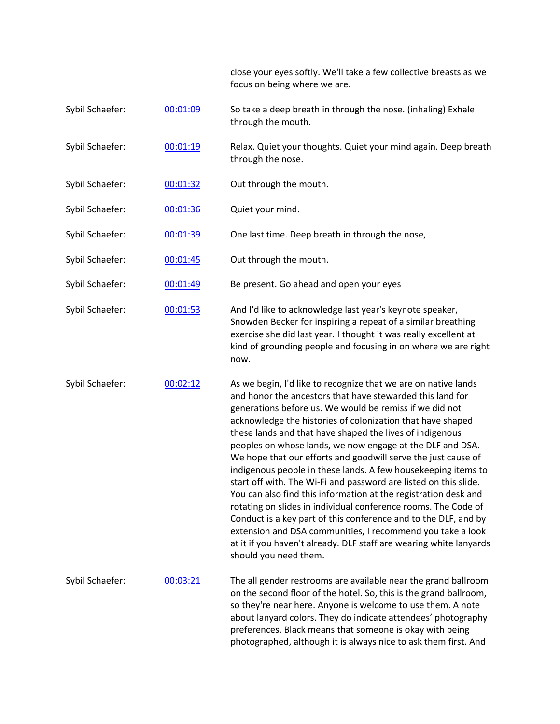close your eyes softly. We'll take a few collective breasts as we focus on being where we are.

preferences. Black means that someone is okay with being photographed, although it is always nice to ask them first. And

| Sybil Schaefer: | 00:01:09 | So take a deep breath in through the nose. (inhaling) Exhale<br>through the mouth.                                                                                                                                                                                                                                                                                                                                                                                                                                                                                                                                                                                                                                                                                                                                                                                                                                                                       |
|-----------------|----------|----------------------------------------------------------------------------------------------------------------------------------------------------------------------------------------------------------------------------------------------------------------------------------------------------------------------------------------------------------------------------------------------------------------------------------------------------------------------------------------------------------------------------------------------------------------------------------------------------------------------------------------------------------------------------------------------------------------------------------------------------------------------------------------------------------------------------------------------------------------------------------------------------------------------------------------------------------|
| Sybil Schaefer: | 00:01:19 | Relax. Quiet your thoughts. Quiet your mind again. Deep breath<br>through the nose.                                                                                                                                                                                                                                                                                                                                                                                                                                                                                                                                                                                                                                                                                                                                                                                                                                                                      |
| Sybil Schaefer: | 00:01:32 | Out through the mouth.                                                                                                                                                                                                                                                                                                                                                                                                                                                                                                                                                                                                                                                                                                                                                                                                                                                                                                                                   |
| Sybil Schaefer: | 00:01:36 | Quiet your mind.                                                                                                                                                                                                                                                                                                                                                                                                                                                                                                                                                                                                                                                                                                                                                                                                                                                                                                                                         |
| Sybil Schaefer: | 00:01:39 | One last time. Deep breath in through the nose,                                                                                                                                                                                                                                                                                                                                                                                                                                                                                                                                                                                                                                                                                                                                                                                                                                                                                                          |
| Sybil Schaefer: | 00:01:45 | Out through the mouth.                                                                                                                                                                                                                                                                                                                                                                                                                                                                                                                                                                                                                                                                                                                                                                                                                                                                                                                                   |
| Sybil Schaefer: | 00:01:49 | Be present. Go ahead and open your eyes                                                                                                                                                                                                                                                                                                                                                                                                                                                                                                                                                                                                                                                                                                                                                                                                                                                                                                                  |
| Sybil Schaefer: | 00:01:53 | And I'd like to acknowledge last year's keynote speaker,<br>Snowden Becker for inspiring a repeat of a similar breathing<br>exercise she did last year. I thought it was really excellent at<br>kind of grounding people and focusing in on where we are right<br>now.                                                                                                                                                                                                                                                                                                                                                                                                                                                                                                                                                                                                                                                                                   |
| Sybil Schaefer: | 00:02:12 | As we begin, I'd like to recognize that we are on native lands<br>and honor the ancestors that have stewarded this land for<br>generations before us. We would be remiss if we did not<br>acknowledge the histories of colonization that have shaped<br>these lands and that have shaped the lives of indigenous<br>peoples on whose lands, we now engage at the DLF and DSA.<br>We hope that our efforts and goodwill serve the just cause of<br>indigenous people in these lands. A few housekeeping items to<br>start off with. The Wi-Fi and password are listed on this slide.<br>You can also find this information at the registration desk and<br>rotating on slides in individual conference rooms. The Code of<br>Conduct is a key part of this conference and to the DLF, and by<br>extension and DSA communities, I recommend you take a look<br>at it if you haven't already. DLF staff are wearing white lanyards<br>should you need them. |
| Sybil Schaefer: | 00:03:21 | The all gender restrooms are available near the grand ballroom<br>on the second floor of the hotel. So, this is the grand ballroom,<br>so they're near here. Anyone is welcome to use them. A note<br>about lanyard colors. They do indicate attendees' photography                                                                                                                                                                                                                                                                                                                                                                                                                                                                                                                                                                                                                                                                                      |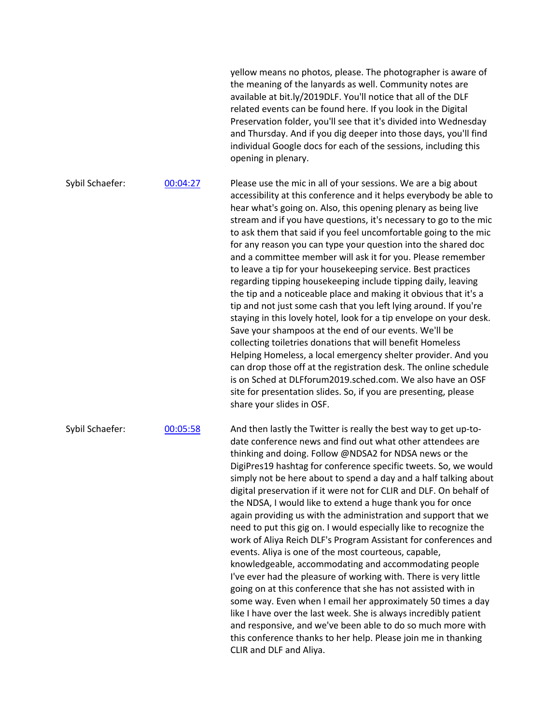|                 |          | yellow means no photos, please. The photographer is aware of<br>the meaning of the lanyards as well. Community notes are<br>available at bit.ly/2019DLF. You'll notice that all of the DLF<br>related events can be found here. If you look in the Digital<br>Preservation folder, you'll see that it's divided into Wednesday<br>and Thursday. And if you dig deeper into those days, you'll find<br>individual Google docs for each of the sessions, including this<br>opening in plenary.                                                                                                                                                                                                                                                                                                                                                                                                                                                                                                                                                                                                                                                                                                                                                              |
|-----------------|----------|-----------------------------------------------------------------------------------------------------------------------------------------------------------------------------------------------------------------------------------------------------------------------------------------------------------------------------------------------------------------------------------------------------------------------------------------------------------------------------------------------------------------------------------------------------------------------------------------------------------------------------------------------------------------------------------------------------------------------------------------------------------------------------------------------------------------------------------------------------------------------------------------------------------------------------------------------------------------------------------------------------------------------------------------------------------------------------------------------------------------------------------------------------------------------------------------------------------------------------------------------------------|
| Sybil Schaefer: | 00:04:27 | Please use the mic in all of your sessions. We are a big about<br>accessibility at this conference and it helps everybody be able to<br>hear what's going on. Also, this opening plenary as being live<br>stream and if you have questions, it's necessary to go to the mic<br>to ask them that said if you feel uncomfortable going to the mic<br>for any reason you can type your question into the shared doc<br>and a committee member will ask it for you. Please remember<br>to leave a tip for your housekeeping service. Best practices<br>regarding tipping housekeeping include tipping daily, leaving<br>the tip and a noticeable place and making it obvious that it's a<br>tip and not just some cash that you left lying around. If you're<br>staying in this lovely hotel, look for a tip envelope on your desk.<br>Save your shampoos at the end of our events. We'll be<br>collecting toiletries donations that will benefit Homeless<br>Helping Homeless, a local emergency shelter provider. And you<br>can drop those off at the registration desk. The online schedule<br>is on Sched at DLFforum2019.sched.com. We also have an OSF<br>site for presentation slides. So, if you are presenting, please<br>share your slides in OSF. |
| Sybil Schaefer: | 00:05:58 | And then lastly the Twitter is really the best way to get up-to-<br>date conference news and find out what other attendees are<br>thinking and doing. Follow @NDSA2 for NDSA news or the<br>DigiPres19 hashtag for conference specific tweets. So, we would<br>simply not be here about to spend a day and a half talking about<br>digital preservation if it were not for CLIR and DLF. On behalf of<br>the NDSA, I would like to extend a huge thank you for once<br>again providing us with the administration and support that we<br>need to put this gig on. I would especially like to recognize the<br>work of Aliya Reich DLF's Program Assistant for conferences and<br>events. Aliya is one of the most courteous, capable,<br>knowledgeable, accommodating and accommodating people<br>I've ever had the pleasure of working with. There is very little<br>going on at this conference that she has not assisted with in<br>some way. Even when I email her approximately 50 times a day<br>like I have over the last week. She is always incredibly patient<br>and responsive, and we've been able to do so much more with<br>this conference thanks to her help. Please join me in thanking<br>CLIR and DLF and Aliya.                       |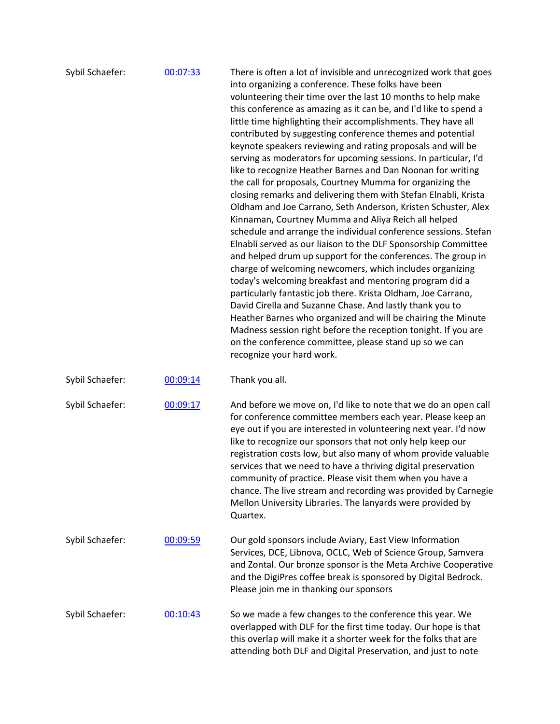| Sybil Schaefer: | 00:07:33 | There is often a lot of invisible and unrecognized work that goes<br>into organizing a conference. These folks have been<br>volunteering their time over the last 10 months to help make<br>this conference as amazing as it can be, and I'd like to spend a<br>little time highlighting their accomplishments. They have all<br>contributed by suggesting conference themes and potential<br>keynote speakers reviewing and rating proposals and will be<br>serving as moderators for upcoming sessions. In particular, I'd<br>like to recognize Heather Barnes and Dan Noonan for writing<br>the call for proposals, Courtney Mumma for organizing the<br>closing remarks and delivering them with Stefan Elnabli, Krista<br>Oldham and Joe Carrano, Seth Anderson, Kristen Schuster, Alex<br>Kinnaman, Courtney Mumma and Aliya Reich all helped<br>schedule and arrange the individual conference sessions. Stefan<br>Elnabli served as our liaison to the DLF Sponsorship Committee<br>and helped drum up support for the conferences. The group in<br>charge of welcoming newcomers, which includes organizing<br>today's welcoming breakfast and mentoring program did a<br>particularly fantastic job there. Krista Oldham, Joe Carrano,<br>David Cirella and Suzanne Chase. And lastly thank you to<br>Heather Barnes who organized and will be chairing the Minute<br>Madness session right before the reception tonight. If you are<br>on the conference committee, please stand up so we can<br>recognize your hard work. |
|-----------------|----------|---------------------------------------------------------------------------------------------------------------------------------------------------------------------------------------------------------------------------------------------------------------------------------------------------------------------------------------------------------------------------------------------------------------------------------------------------------------------------------------------------------------------------------------------------------------------------------------------------------------------------------------------------------------------------------------------------------------------------------------------------------------------------------------------------------------------------------------------------------------------------------------------------------------------------------------------------------------------------------------------------------------------------------------------------------------------------------------------------------------------------------------------------------------------------------------------------------------------------------------------------------------------------------------------------------------------------------------------------------------------------------------------------------------------------------------------------------------------------------------------------------------------------------------|
| Sybil Schaefer: | 00:09:14 | Thank you all.                                                                                                                                                                                                                                                                                                                                                                                                                                                                                                                                                                                                                                                                                                                                                                                                                                                                                                                                                                                                                                                                                                                                                                                                                                                                                                                                                                                                                                                                                                                        |
| Sybil Schaefer: | 00:09:17 | And before we move on, I'd like to note that we do an open call<br>for conference committee members each year. Please keep an<br>eye out if you are interested in volunteering next year. I'd now<br>like to recognize our sponsors that not only help keep our<br>registration costs low, but also many of whom provide valuable<br>services that we need to have a thriving digital preservation<br>community of practice. Please visit them when you have a<br>chance. The live stream and recording was provided by Carnegie<br>Mellon University Libraries. The lanyards were provided by<br>Quartex.                                                                                                                                                                                                                                                                                                                                                                                                                                                                                                                                                                                                                                                                                                                                                                                                                                                                                                                            |
| Sybil Schaefer: | 00:09:59 | Our gold sponsors include Aviary, East View Information<br>Services, DCE, Libnova, OCLC, Web of Science Group, Samvera<br>and Zontal. Our bronze sponsor is the Meta Archive Cooperative<br>and the DigiPres coffee break is sponsored by Digital Bedrock.<br>Please join me in thanking our sponsors                                                                                                                                                                                                                                                                                                                                                                                                                                                                                                                                                                                                                                                                                                                                                                                                                                                                                                                                                                                                                                                                                                                                                                                                                                 |
| Sybil Schaefer: | 00:10:43 | So we made a few changes to the conference this year. We<br>overlapped with DLF for the first time today. Our hope is that<br>this overlap will make it a shorter week for the folks that are<br>attending both DLF and Digital Preservation, and just to note                                                                                                                                                                                                                                                                                                                                                                                                                                                                                                                                                                                                                                                                                                                                                                                                                                                                                                                                                                                                                                                                                                                                                                                                                                                                        |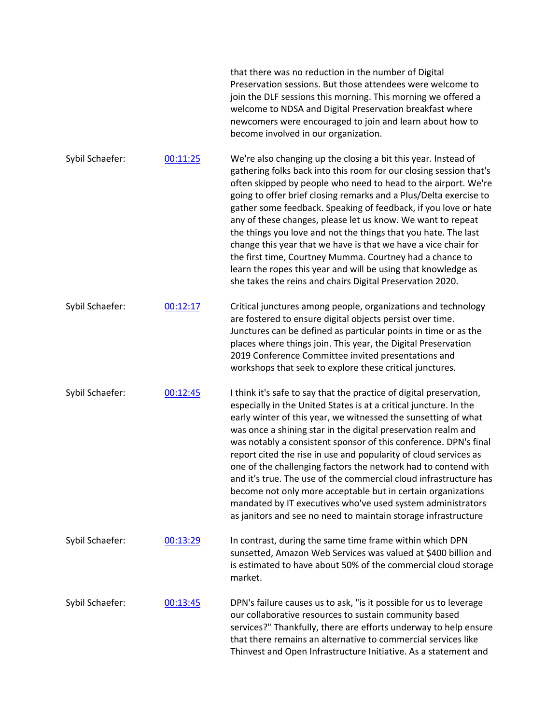|                 |          | that there was no reduction in the number of Digital<br>Preservation sessions. But those attendees were welcome to<br>join the DLF sessions this morning. This morning we offered a<br>welcome to NDSA and Digital Preservation breakfast where<br>newcomers were encouraged to join and learn about how to<br>become involved in our organization.                                                                                                                                                                                                                                                                                                                                                                                                         |
|-----------------|----------|-------------------------------------------------------------------------------------------------------------------------------------------------------------------------------------------------------------------------------------------------------------------------------------------------------------------------------------------------------------------------------------------------------------------------------------------------------------------------------------------------------------------------------------------------------------------------------------------------------------------------------------------------------------------------------------------------------------------------------------------------------------|
| Sybil Schaefer: | 00:11:25 | We're also changing up the closing a bit this year. Instead of<br>gathering folks back into this room for our closing session that's<br>often skipped by people who need to head to the airport. We're<br>going to offer brief closing remarks and a Plus/Delta exercise to<br>gather some feedback. Speaking of feedback, if you love or hate<br>any of these changes, please let us know. We want to repeat<br>the things you love and not the things that you hate. The last<br>change this year that we have is that we have a vice chair for<br>the first time, Courtney Mumma. Courtney had a chance to<br>learn the ropes this year and will be using that knowledge as<br>she takes the reins and chairs Digital Preservation 2020.                 |
| Sybil Schaefer: | 00:12:17 | Critical junctures among people, organizations and technology<br>are fostered to ensure digital objects persist over time.<br>Junctures can be defined as particular points in time or as the<br>places where things join. This year, the Digital Preservation<br>2019 Conference Committee invited presentations and<br>workshops that seek to explore these critical junctures.                                                                                                                                                                                                                                                                                                                                                                           |
| Sybil Schaefer: | 00:12:45 | I think it's safe to say that the practice of digital preservation,<br>especially in the United States is at a critical juncture. In the<br>early winter of this year, we witnessed the sunsetting of what<br>was once a shining star in the digital preservation realm and<br>was notably a consistent sponsor of this conference. DPN's final<br>report cited the rise in use and popularity of cloud services as<br>one of the challenging factors the network had to contend with<br>and it's true. The use of the commercial cloud infrastructure has<br>become not only more acceptable but in certain organizations<br>mandated by IT executives who've used system administrators<br>as janitors and see no need to maintain storage infrastructure |
| Sybil Schaefer: | 00:13:29 | In contrast, during the same time frame within which DPN<br>sunsetted, Amazon Web Services was valued at \$400 billion and<br>is estimated to have about 50% of the commercial cloud storage<br>market.                                                                                                                                                                                                                                                                                                                                                                                                                                                                                                                                                     |
| Sybil Schaefer: | 00:13:45 | DPN's failure causes us to ask, "is it possible for us to leverage<br>our collaborative resources to sustain community based<br>services?" Thankfully, there are efforts underway to help ensure<br>that there remains an alternative to commercial services like<br>Thinvest and Open Infrastructure Initiative. As a statement and                                                                                                                                                                                                                                                                                                                                                                                                                        |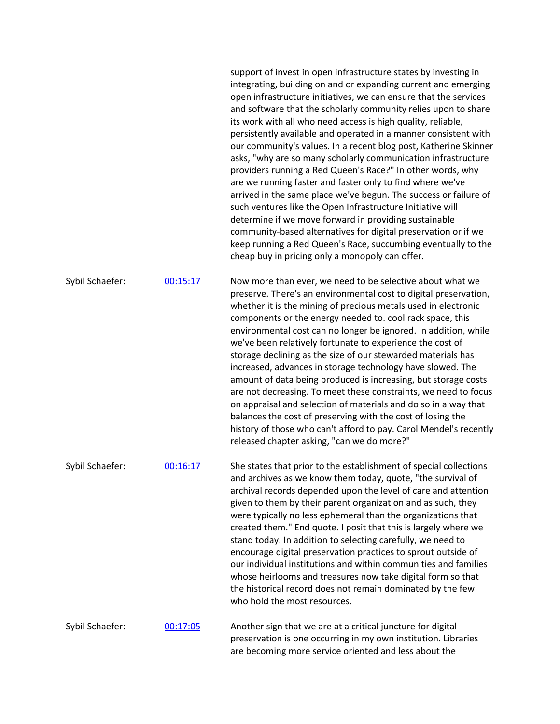|                 |          | support of invest in open infrastructure states by investing in<br>integrating, building on and or expanding current and emerging<br>open infrastructure initiatives, we can ensure that the services<br>and software that the scholarly community relies upon to share<br>its work with all who need access is high quality, reliable,<br>persistently available and operated in a manner consistent with<br>our community's values. In a recent blog post, Katherine Skinner<br>asks, "why are so many scholarly communication infrastructure<br>providers running a Red Queen's Race?" In other words, why<br>are we running faster and faster only to find where we've<br>arrived in the same place we've begun. The success or failure of<br>such ventures like the Open Infrastructure Initiative will<br>determine if we move forward in providing sustainable<br>community-based alternatives for digital preservation or if we<br>keep running a Red Queen's Race, succumbing eventually to the<br>cheap buy in pricing only a monopoly can offer. |
|-----------------|----------|-------------------------------------------------------------------------------------------------------------------------------------------------------------------------------------------------------------------------------------------------------------------------------------------------------------------------------------------------------------------------------------------------------------------------------------------------------------------------------------------------------------------------------------------------------------------------------------------------------------------------------------------------------------------------------------------------------------------------------------------------------------------------------------------------------------------------------------------------------------------------------------------------------------------------------------------------------------------------------------------------------------------------------------------------------------|
| Sybil Schaefer: | 00:15:17 | Now more than ever, we need to be selective about what we<br>preserve. There's an environmental cost to digital preservation,<br>whether it is the mining of precious metals used in electronic<br>components or the energy needed to. cool rack space, this<br>environmental cost can no longer be ignored. In addition, while<br>we've been relatively fortunate to experience the cost of<br>storage declining as the size of our stewarded materials has<br>increased, advances in storage technology have slowed. The<br>amount of data being produced is increasing, but storage costs<br>are not decreasing. To meet these constraints, we need to focus<br>on appraisal and selection of materials and do so in a way that<br>balances the cost of preserving with the cost of losing the<br>history of those who can't afford to pay. Carol Mendel's recently<br>released chapter asking, "can we do more?"                                                                                                                                        |
| Sybil Schaefer: | 00:16:17 | She states that prior to the establishment of special collections<br>and archives as we know them today, quote, "the survival of<br>archival records depended upon the level of care and attention<br>given to them by their parent organization and as such, they<br>were typically no less ephemeral than the organizations that<br>created them." End quote. I posit that this is largely where we<br>stand today. In addition to selecting carefully, we need to<br>encourage digital preservation practices to sprout outside of<br>our individual institutions and within communities and families<br>whose heirlooms and treasures now take digital form so that<br>the historical record does not remain dominated by the few<br>who hold the most resources.                                                                                                                                                                                                                                                                                       |
| Sybil Schaefer: | 00:17:05 | Another sign that we are at a critical juncture for digital<br>preservation is one occurring in my own institution. Libraries<br>are becoming more service oriented and less about the                                                                                                                                                                                                                                                                                                                                                                                                                                                                                                                                                                                                                                                                                                                                                                                                                                                                      |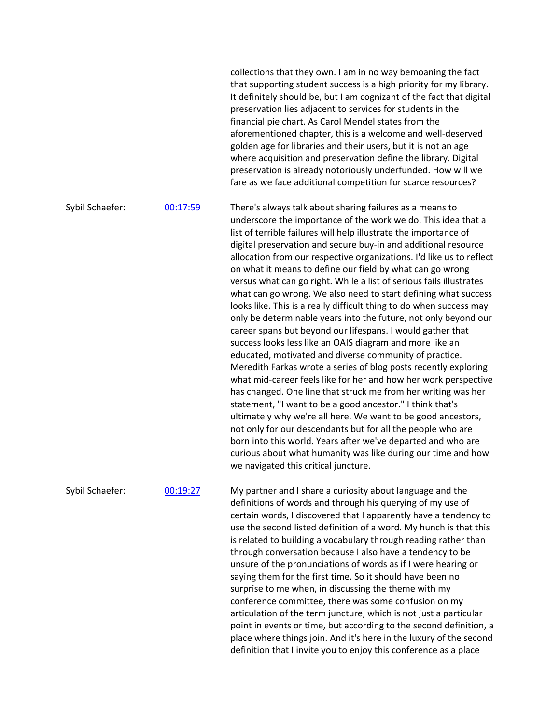collections that they own. I am in no way bemoaning the fact that supporting student success is a high priority for my library. It definitely should be, but I am cognizant of the fact that digital preservation lies adjacent to services for students in the financial pie chart. As Carol Mendel states from the aforementioned chapter, this is a welcome and well-deserved golden age for libraries and their users, but it is not an age where acquisition and preservation define the library. Digital preservation is already notoriously underfunded. How will we fare as we face additional competition for scarce resources?

Sybil Schaefer: 00:17:59 There's always talk about sharing failures as a means to underscore the importance of the work we do. This idea that a list of terrible failures will help illustrate the importance of digital preservation and secure buy-in and additional resource allocation from our respective organizations. I'd like us to reflect on what it means to define our field by what can go wrong versus what can go right. While a list of serious fails illustrates what can go wrong. We also need to start defining what success looks like. This is a really difficult thing to do when success may only be determinable years into the future, not only beyond our career spans but beyond our lifespans. I would gather that success looks less like an OAIS diagram and more like an educated, motivated and diverse community of practice. Meredith Farkas wrote a series of blog posts recently exploring what mid-career feels like for her and how her work perspective has changed. One line that struck me from her writing was her statement, "I want to be a good ancestor." I think that's ultimately why we're all here. We want to be good ancestors, not only for our descendants but for all the people who are born into this world. Years after we've departed and who are curious about what humanity was like during our time and how we navigated this critical juncture.

Sybil Schaefer: 00:19:27 My partner and I share a curiosity about language and the definitions of words and through his querying of my use of certain words, I discovered that I apparently have a tendency to use the second listed definition of a word. My hunch is that this is related to building a vocabulary through reading rather than through conversation because I also have a tendency to be unsure of the pronunciations of words as if I were hearing or saying them for the first time. So it should have been no surprise to me when, in discussing the theme with my conference committee, there was some confusion on my articulation of the term juncture, which is not just a particular point in events or time, but according to the second definition, a place where things join. And it's here in the luxury of the second definition that I invite you to enjoy this conference as a place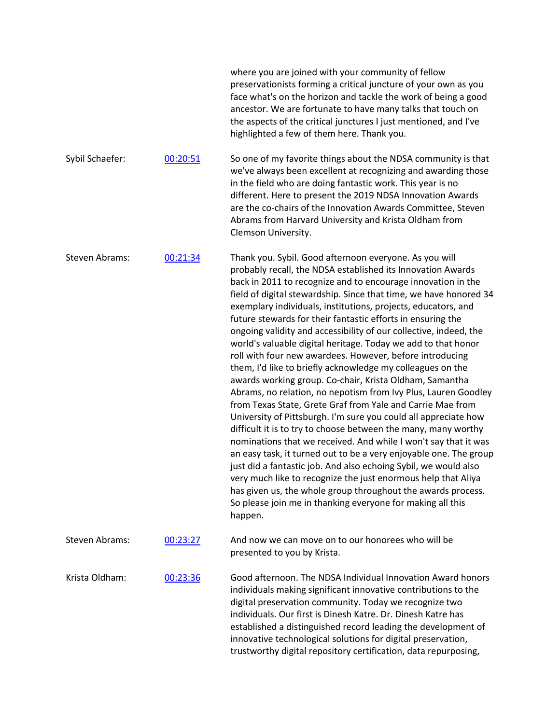|                 |          | where you are joined with your community of fellow<br>preservationists forming a critical juncture of your own as you<br>face what's on the horizon and tackle the work of being a good<br>ancestor. We are fortunate to have many talks that touch on<br>the aspects of the critical junctures I just mentioned, and I've<br>highlighted a few of them here. Thank you.                                                                                                                                                                                                                                                                                                                                                                                                                                                                                                                                                                                                                                                                                                                                                                                                                                                                                                                                                                                                                                        |
|-----------------|----------|-----------------------------------------------------------------------------------------------------------------------------------------------------------------------------------------------------------------------------------------------------------------------------------------------------------------------------------------------------------------------------------------------------------------------------------------------------------------------------------------------------------------------------------------------------------------------------------------------------------------------------------------------------------------------------------------------------------------------------------------------------------------------------------------------------------------------------------------------------------------------------------------------------------------------------------------------------------------------------------------------------------------------------------------------------------------------------------------------------------------------------------------------------------------------------------------------------------------------------------------------------------------------------------------------------------------------------------------------------------------------------------------------------------------|
| Sybil Schaefer: | 00:20:51 | So one of my favorite things about the NDSA community is that<br>we've always been excellent at recognizing and awarding those<br>in the field who are doing fantastic work. This year is no<br>different. Here to present the 2019 NDSA Innovation Awards<br>are the co-chairs of the Innovation Awards Committee, Steven<br>Abrams from Harvard University and Krista Oldham from<br>Clemson University.                                                                                                                                                                                                                                                                                                                                                                                                                                                                                                                                                                                                                                                                                                                                                                                                                                                                                                                                                                                                      |
| Steven Abrams:  | 00:21:34 | Thank you. Sybil. Good afternoon everyone. As you will<br>probably recall, the NDSA established its Innovation Awards<br>back in 2011 to recognize and to encourage innovation in the<br>field of digital stewardship. Since that time, we have honored 34<br>exemplary individuals, institutions, projects, educators, and<br>future stewards for their fantastic efforts in ensuring the<br>ongoing validity and accessibility of our collective, indeed, the<br>world's valuable digital heritage. Today we add to that honor<br>roll with four new awardees. However, before introducing<br>them, I'd like to briefly acknowledge my colleagues on the<br>awards working group. Co-chair, Krista Oldham, Samantha<br>Abrams, no relation, no nepotism from Ivy Plus, Lauren Goodley<br>from Texas State, Grete Graf from Yale and Carrie Mae from<br>University of Pittsburgh. I'm sure you could all appreciate how<br>difficult it is to try to choose between the many, many worthy<br>nominations that we received. And while I won't say that it was<br>an easy task, it turned out to be a very enjoyable one. The group<br>just did a fantastic job. And also echoing Sybil, we would also<br>very much like to recognize the just enormous help that Aliya<br>has given us, the whole group throughout the awards process.<br>So please join me in thanking everyone for making all this<br>happen. |
| Steven Abrams:  | 00:23:27 | And now we can move on to our honorees who will be<br>presented to you by Krista.                                                                                                                                                                                                                                                                                                                                                                                                                                                                                                                                                                                                                                                                                                                                                                                                                                                                                                                                                                                                                                                                                                                                                                                                                                                                                                                               |
| Krista Oldham:  | 00:23:36 | Good afternoon. The NDSA Individual Innovation Award honors<br>individuals making significant innovative contributions to the<br>digital preservation community. Today we recognize two<br>individuals. Our first is Dinesh Katre. Dr. Dinesh Katre has<br>established a distinguished record leading the development of<br>innovative technological solutions for digital preservation,<br>trustworthy digital repository certification, data repurposing,                                                                                                                                                                                                                                                                                                                                                                                                                                                                                                                                                                                                                                                                                                                                                                                                                                                                                                                                                     |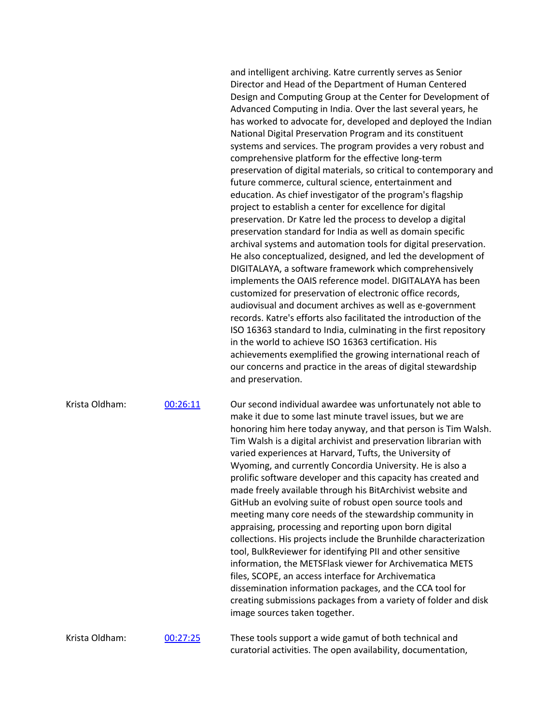and intelligent archiving. Katre currently serves as Senior Director and Head of the Department of Human Centered Design and Computing Group at the Center for Development of Advanced Computing in India. Over the last several years, he has worked to advocate for, developed and deployed the Indian National Digital Preservation Program and its constituent systems and services. The program provides a very robust and comprehensive platform for the effective long-term preservation of digital materials, so critical to contemporary and future commerce, cultural science, entertainment and education. As chief investigator of the program's flagship project to establish a center for excellence for digital preservation. Dr Katre led the process to develop a digital preservation standard for India as well as domain specific archival systems and automation tools for digital preservation. He also conceptualized, designed, and led the development of DIGITALAYA, a software framework which comprehensively implements the OAIS reference model. DIGITALAYA has been customized for preservation of electronic office records, audiovisual and document archives as well as e-government records. Katre's efforts also facilitated the introduction of the ISO 16363 standard to India, culminating in the first repository in the world to achieve ISO 16363 certification. His achievements exemplified the growing international reach of our concerns and practice in the areas of digital stewardship and preservation.

Krista Oldham: 00:26:11 Our second individual awardee was unfortunately not able to make it due to some last minute travel issues, but we are honoring him here today anyway, and that person is Tim Walsh. Tim Walsh is a digital archivist and preservation librarian with varied experiences at Harvard, Tufts, the University of Wyoming, and currently Concordia University. He is also a prolific software developer and this capacity has created and made freely available through his BitArchivist website and GitHub an evolving suite of robust open source tools and meeting many core needs of the stewardship community in appraising, processing and reporting upon born digital collections. His projects include the Brunhilde characterization tool, BulkReviewer for identifying PII and other sensitive information, the METSFlask viewer for Archivematica METS files, SCOPE, an access interface for Archivematica dissemination information packages, and the CCA tool for creating submissions packages from a variety of folder and disk image sources taken together.

Krista Oldham: 00:27:25 These tools support a wide gamut of both technical and curatorial activities. The open availability, documentation,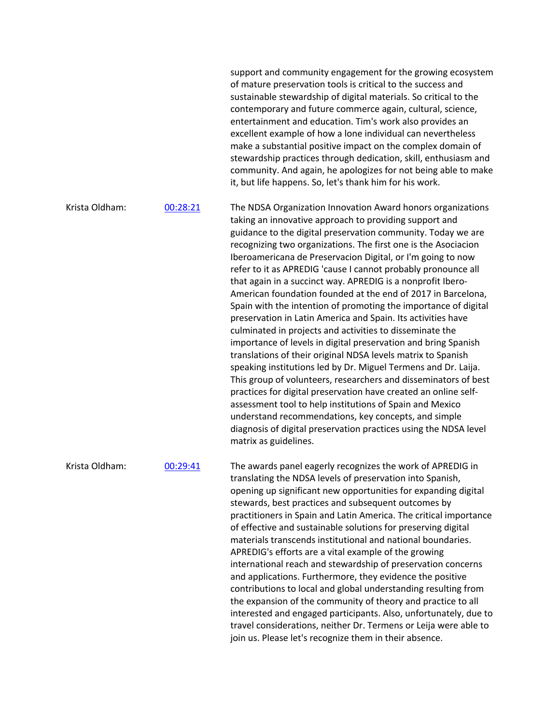support and community engagement for the growing ecosystem of mature preservation tools is critical to the success and sustainable stewardship of digital materials. So critical to the contemporary and future commerce again, cultural, science, entertainment and education. Tim's work also provides an excellent example of how a lone individual can nevertheless make a substantial positive impact on the complex domain of stewardship practices through dedication, skill, enthusiasm and community. And again, he apologizes for not being able to make it, but life happens. So, let's thank him for his work. Krista Oldham: 00:28:21 The NDSA Organization Innovation Award honors organizations taking an innovative approach to providing support and guidance to the digital preservation community. Today we are recognizing two organizations. The first one is the Asociacion Iberoamericana de Preservacion Digital, or I'm going to now refer to it as APREDIG 'cause I cannot probably pronounce all that again in a succinct way. APREDIG is a nonprofit Ibero-American foundation founded at the end of 2017 in Barcelona, Spain with the intention of promoting the importance of digital preservation in Latin America and Spain. Its activities have culminated in projects and activities to disseminate the importance of levels in digital preservation and bring Spanish translations of their original NDSA levels matrix to Spanish speaking institutions led by Dr. Miguel Termens and Dr. Laija. This group of volunteers, researchers and disseminators of best practices for digital preservation have created an online selfassessment tool to help institutions of Spain and Mexico understand recommendations, key concepts, and simple diagnosis of digital preservation practices using the NDSA level matrix as guidelines.

Krista Oldham: 00:29:41 The awards panel eagerly recognizes the work of APREDIG in translating the NDSA levels of preservation into Spanish, opening up significant new opportunities for expanding digital stewards, best practices and subsequent outcomes by practitioners in Spain and Latin America. The critical importance of effective and sustainable solutions for preserving digital materials transcends institutional and national boundaries. APREDIG's efforts are a vital example of the growing international reach and stewardship of preservation concerns and applications. Furthermore, they evidence the positive contributions to local and global understanding resulting from the expansion of the community of theory and practice to all interested and engaged participants. Also, unfortunately, due to travel considerations, neither Dr. Termens or Leija were able to join us. Please let's recognize them in their absence.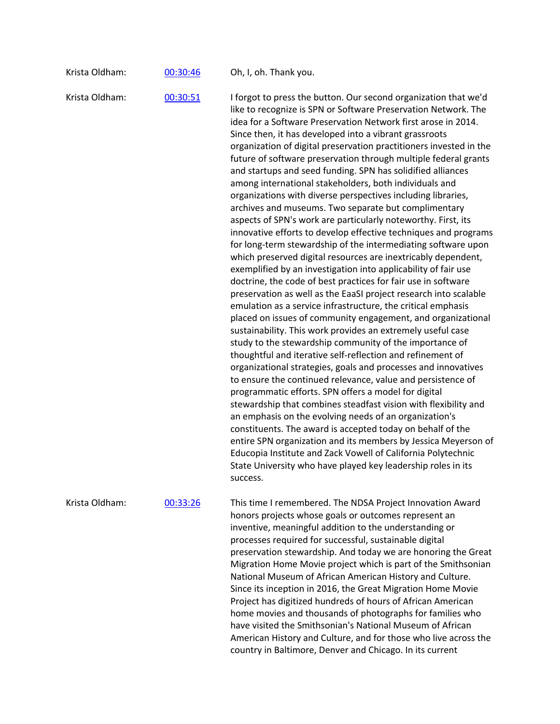| Krista Oldham:<br>Oh, I, oh. Thank you.<br>00:30:46 |  |  |  |
|-----------------------------------------------------|--|--|--|
|-----------------------------------------------------|--|--|--|

Krista Oldham: 00:30:51 I forgot to press the button. Our second organization that we'd like to recognize is SPN or Software Preservation Network. The idea for a Software Preservation Network first arose in 2014. Since then, it has developed into a vibrant grassroots organization of digital preservation practitioners invested in the future of software preservation through multiple federal grants and startups and seed funding. SPN has solidified alliances among international stakeholders, both individuals and organizations with diverse perspectives including libraries, archives and museums. Two separate but complimentary aspects of SPN's work are particularly noteworthy. First, its innovative efforts to develop effective techniques and programs for long-term stewardship of the intermediating software upon which preserved digital resources are inextricably dependent, exemplified by an investigation into applicability of fair use doctrine, the code of best practices for fair use in software preservation as well as the EaaSI project research into scalable emulation as a service infrastructure, the critical emphasis placed on issues of community engagement, and organizational sustainability. This work provides an extremely useful case study to the stewardship community of the importance of thoughtful and iterative self-reflection and refinement of organizational strategies, goals and processes and innovatives to ensure the continued relevance, value and persistence of programmatic efforts. SPN offers a model for digital stewardship that combines steadfast vision with flexibility and an emphasis on the evolving needs of an organization's constituents. The award is accepted today on behalf of the entire SPN organization and its members by Jessica Meyerson of Educopia Institute and Zack Vowell of California Polytechnic State University who have played key leadership roles in its success.

Krista Oldham: 00:33:26 This time I remembered. The NDSA Project Innovation Award honors projects whose goals or outcomes represent an inventive, meaningful addition to the understanding or processes required for successful, sustainable digital preservation stewardship. And today we are honoring the Great Migration Home Movie project which is part of the Smithsonian National Museum of African American History and Culture. Since its inception in 2016, the Great Migration Home Movie Project has digitized hundreds of hours of African American home movies and thousands of photographs for families who have visited the Smithsonian's National Museum of African American History and Culture, and for those who live across the country in Baltimore, Denver and Chicago. In its current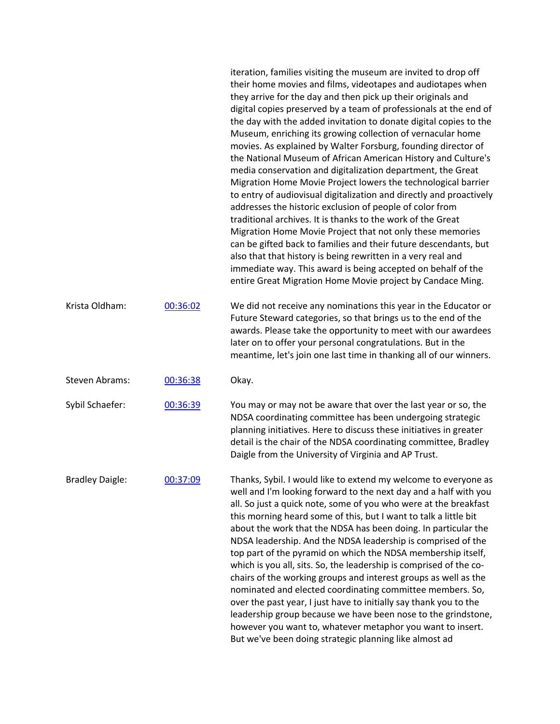|                        |          | iteration, families visiting the museum are invited to drop off<br>their home movies and films, videotapes and audiotapes when<br>they arrive for the day and then pick up their originals and<br>digital copies preserved by a team of professionals at the end of<br>the day with the added invitation to donate digital copies to the<br>Museum, enriching its growing collection of vernacular home<br>movies. As explained by Walter Forsburg, founding director of<br>the National Museum of African American History and Culture's<br>media conservation and digitalization department, the Great<br>Migration Home Movie Project lowers the technological barrier<br>to entry of audiovisual digitalization and directly and proactively<br>addresses the historic exclusion of people of color from<br>traditional archives. It is thanks to the work of the Great<br>Migration Home Movie Project that not only these memories<br>can be gifted back to families and their future descendants, but<br>also that that history is being rewritten in a very real and<br>immediate way. This award is being accepted on behalf of the<br>entire Great Migration Home Movie project by Candace Ming. |
|------------------------|----------|------------------------------------------------------------------------------------------------------------------------------------------------------------------------------------------------------------------------------------------------------------------------------------------------------------------------------------------------------------------------------------------------------------------------------------------------------------------------------------------------------------------------------------------------------------------------------------------------------------------------------------------------------------------------------------------------------------------------------------------------------------------------------------------------------------------------------------------------------------------------------------------------------------------------------------------------------------------------------------------------------------------------------------------------------------------------------------------------------------------------------------------------------------------------------------------------------------|
| Krista Oldham:         | 00:36:02 | We did not receive any nominations this year in the Educator or<br>Future Steward categories, so that brings us to the end of the<br>awards. Please take the opportunity to meet with our awardees<br>later on to offer your personal congratulations. But in the<br>meantime, let's join one last time in thanking all of our winners.                                                                                                                                                                                                                                                                                                                                                                                                                                                                                                                                                                                                                                                                                                                                                                                                                                                                    |
| <b>Steven Abrams:</b>  | 00:36:38 | Okay.                                                                                                                                                                                                                                                                                                                                                                                                                                                                                                                                                                                                                                                                                                                                                                                                                                                                                                                                                                                                                                                                                                                                                                                                      |
| Sybil Schaefer:        | 00:36:39 | You may or may not be aware that over the last year or so, the<br>NDSA coordinating committee has been undergoing strategic<br>planning initiatives. Here to discuss these initiatives in greater<br>detail is the chair of the NDSA coordinating committee, Bradley<br>Daigle from the University of Virginia and AP Trust.                                                                                                                                                                                                                                                                                                                                                                                                                                                                                                                                                                                                                                                                                                                                                                                                                                                                               |
| <b>Bradley Daigle:</b> | 00:37:09 | Thanks, Sybil. I would like to extend my welcome to everyone as<br>well and I'm looking forward to the next day and a half with you<br>all. So just a quick note, some of you who were at the breakfast<br>this morning heard some of this, but I want to talk a little bit<br>about the work that the NDSA has been doing. In particular the<br>NDSA leadership. And the NDSA leadership is comprised of the<br>top part of the pyramid on which the NDSA membership itself,<br>which is you all, sits. So, the leadership is comprised of the co-<br>chairs of the working groups and interest groups as well as the<br>nominated and elected coordinating committee members. So,<br>over the past year, I just have to initially say thank you to the<br>leadership group because we have been nose to the grindstone,<br>however you want to, whatever metaphor you want to insert.<br>But we've been doing strategic planning like almost ad                                                                                                                                                                                                                                                          |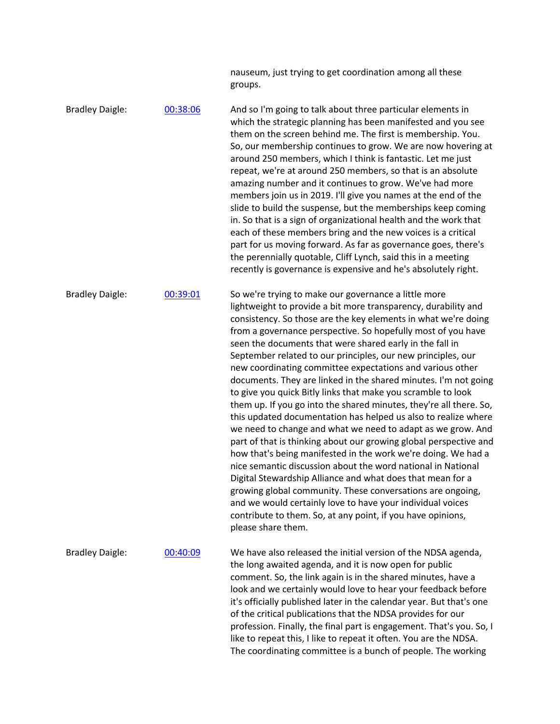|                        |          | nauseum, just trying to get coordination among all these<br>groups.                                                                                                                                                                                                                                                                                                                                                                                                                                                                                                                                                                                                                                                                                                                                                                                                                                                                                                                                                                                                                                                                                                                                                                                                              |
|------------------------|----------|----------------------------------------------------------------------------------------------------------------------------------------------------------------------------------------------------------------------------------------------------------------------------------------------------------------------------------------------------------------------------------------------------------------------------------------------------------------------------------------------------------------------------------------------------------------------------------------------------------------------------------------------------------------------------------------------------------------------------------------------------------------------------------------------------------------------------------------------------------------------------------------------------------------------------------------------------------------------------------------------------------------------------------------------------------------------------------------------------------------------------------------------------------------------------------------------------------------------------------------------------------------------------------|
| <b>Bradley Daigle:</b> | 00:38:06 | And so I'm going to talk about three particular elements in<br>which the strategic planning has been manifested and you see<br>them on the screen behind me. The first is membership. You.<br>So, our membership continues to grow. We are now hovering at<br>around 250 members, which I think is fantastic. Let me just<br>repeat, we're at around 250 members, so that is an absolute<br>amazing number and it continues to grow. We've had more<br>members join us in 2019. I'll give you names at the end of the<br>slide to build the suspense, but the memberships keep coming<br>in. So that is a sign of organizational health and the work that<br>each of these members bring and the new voices is a critical<br>part for us moving forward. As far as governance goes, there's<br>the perennially quotable, Cliff Lynch, said this in a meeting<br>recently is governance is expensive and he's absolutely right.                                                                                                                                                                                                                                                                                                                                                   |
| <b>Bradley Daigle:</b> | 00:39:01 | So we're trying to make our governance a little more<br>lightweight to provide a bit more transparency, durability and<br>consistency. So those are the key elements in what we're doing<br>from a governance perspective. So hopefully most of you have<br>seen the documents that were shared early in the fall in<br>September related to our principles, our new principles, our<br>new coordinating committee expectations and various other<br>documents. They are linked in the shared minutes. I'm not going<br>to give you quick Bitly links that make you scramble to look<br>them up. If you go into the shared minutes, they're all there. So,<br>this updated documentation has helped us also to realize where<br>we need to change and what we need to adapt as we grow. And<br>part of that is thinking about our growing global perspective and<br>how that's being manifested in the work we're doing. We had a<br>nice semantic discussion about the word national in National<br>Digital Stewardship Alliance and what does that mean for a<br>growing global community. These conversations are ongoing,<br>and we would certainly love to have your individual voices<br>contribute to them. So, at any point, if you have opinions,<br>please share them. |
| <b>Bradley Daigle:</b> | 00:40:09 | We have also released the initial version of the NDSA agenda,<br>the long awaited agenda, and it is now open for public<br>comment. So, the link again is in the shared minutes, have a<br>look and we certainly would love to hear your feedback before<br>it's officially published later in the calendar year. But that's one<br>of the critical publications that the NDSA provides for our<br>profession. Finally, the final part is engagement. That's you. So, I<br>like to repeat this, I like to repeat it often. You are the NDSA.<br>The coordinating committee is a bunch of people. The working                                                                                                                                                                                                                                                                                                                                                                                                                                                                                                                                                                                                                                                                     |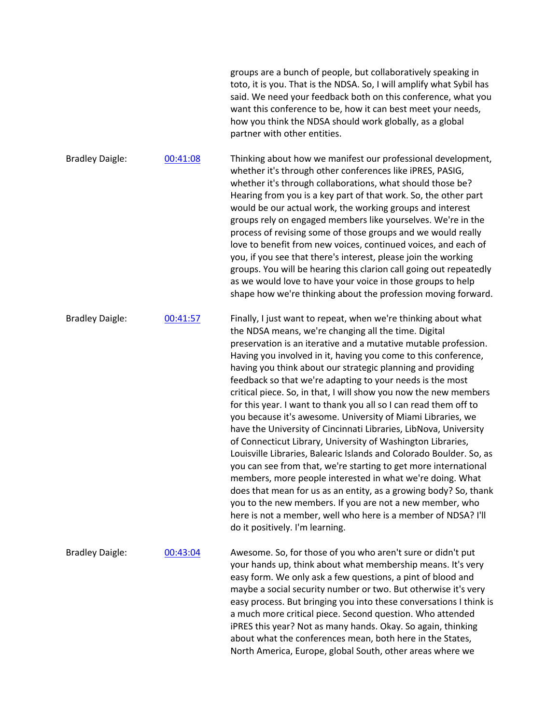|                        |          | groups are a bunch of people, but collaboratively speaking in<br>toto, it is you. That is the NDSA. So, I will amplify what Sybil has<br>said. We need your feedback both on this conference, what you<br>want this conference to be, how it can best meet your needs,<br>how you think the NDSA should work globally, as a global<br>partner with other entities.                                                                                                                                                                                                                                                                                                                                                                                                                                                                                                                                                                                                                                                                                                                                                                                                           |
|------------------------|----------|------------------------------------------------------------------------------------------------------------------------------------------------------------------------------------------------------------------------------------------------------------------------------------------------------------------------------------------------------------------------------------------------------------------------------------------------------------------------------------------------------------------------------------------------------------------------------------------------------------------------------------------------------------------------------------------------------------------------------------------------------------------------------------------------------------------------------------------------------------------------------------------------------------------------------------------------------------------------------------------------------------------------------------------------------------------------------------------------------------------------------------------------------------------------------|
| <b>Bradley Daigle:</b> | 00:41:08 | Thinking about how we manifest our professional development,<br>whether it's through other conferences like iPRES, PASIG,<br>whether it's through collaborations, what should those be?<br>Hearing from you is a key part of that work. So, the other part<br>would be our actual work, the working groups and interest<br>groups rely on engaged members like yourselves. We're in the<br>process of revising some of those groups and we would really<br>love to benefit from new voices, continued voices, and each of<br>you, if you see that there's interest, please join the working<br>groups. You will be hearing this clarion call going out repeatedly<br>as we would love to have your voice in those groups to help<br>shape how we're thinking about the profession moving forward.                                                                                                                                                                                                                                                                                                                                                                            |
| <b>Bradley Daigle:</b> | 00:41:57 | Finally, I just want to repeat, when we're thinking about what<br>the NDSA means, we're changing all the time. Digital<br>preservation is an iterative and a mutative mutable profession.<br>Having you involved in it, having you come to this conference,<br>having you think about our strategic planning and providing<br>feedback so that we're adapting to your needs is the most<br>critical piece. So, in that, I will show you now the new members<br>for this year. I want to thank you all so I can read them off to<br>you because it's awesome. University of Miami Libraries, we<br>have the University of Cincinnati Libraries, LibNova, University<br>of Connecticut Library, University of Washington Libraries,<br>Louisville Libraries, Balearic Islands and Colorado Boulder. So, as<br>you can see from that, we're starting to get more international<br>members, more people interested in what we're doing. What<br>does that mean for us as an entity, as a growing body? So, thank<br>you to the new members. If you are not a new member, who<br>here is not a member, well who here is a member of NDSA? I'll<br>do it positively. I'm learning. |
| <b>Bradley Daigle:</b> | 00:43:04 | Awesome. So, for those of you who aren't sure or didn't put<br>your hands up, think about what membership means. It's very<br>easy form. We only ask a few questions, a pint of blood and<br>maybe a social security number or two. But otherwise it's very<br>easy process. But bringing you into these conversations I think is<br>a much more critical piece. Second question. Who attended<br>iPRES this year? Not as many hands. Okay. So again, thinking<br>about what the conferences mean, both here in the States,<br>North America, Europe, global South, other areas where we                                                                                                                                                                                                                                                                                                                                                                                                                                                                                                                                                                                     |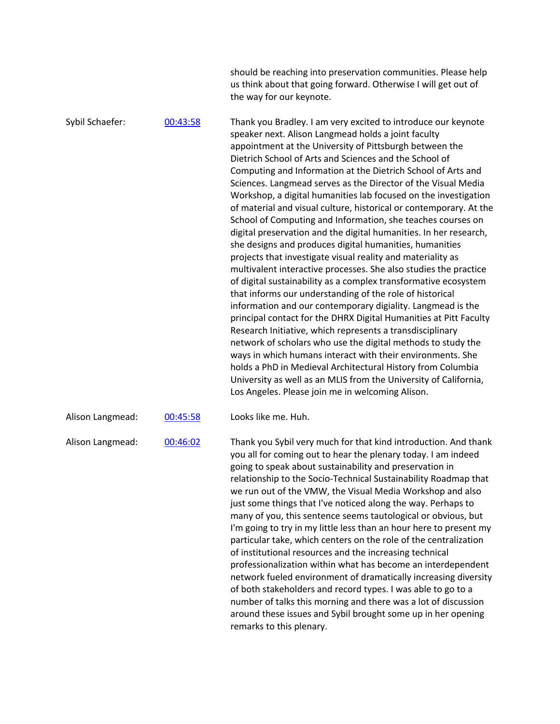|                  |          | should be reaching into preservation communities. Please help<br>us think about that going forward. Otherwise I will get out of<br>the way for our keynote.                                                                                                                                                                                                                                                                                                                                                                                                                                                                                                                                                                                                                                                                                                                                                                                                                                                                                                                                                                                                                                                                                                                                                                                                                                                                                                                                                |
|------------------|----------|------------------------------------------------------------------------------------------------------------------------------------------------------------------------------------------------------------------------------------------------------------------------------------------------------------------------------------------------------------------------------------------------------------------------------------------------------------------------------------------------------------------------------------------------------------------------------------------------------------------------------------------------------------------------------------------------------------------------------------------------------------------------------------------------------------------------------------------------------------------------------------------------------------------------------------------------------------------------------------------------------------------------------------------------------------------------------------------------------------------------------------------------------------------------------------------------------------------------------------------------------------------------------------------------------------------------------------------------------------------------------------------------------------------------------------------------------------------------------------------------------------|
| Sybil Schaefer:  | 00:43:58 | Thank you Bradley. I am very excited to introduce our keynote<br>speaker next. Alison Langmead holds a joint faculty<br>appointment at the University of Pittsburgh between the<br>Dietrich School of Arts and Sciences and the School of<br>Computing and Information at the Dietrich School of Arts and<br>Sciences. Langmead serves as the Director of the Visual Media<br>Workshop, a digital humanities lab focused on the investigation<br>of material and visual culture, historical or contemporary. At the<br>School of Computing and Information, she teaches courses on<br>digital preservation and the digital humanities. In her research,<br>she designs and produces digital humanities, humanities<br>projects that investigate visual reality and materiality as<br>multivalent interactive processes. She also studies the practice<br>of digital sustainability as a complex transformative ecosystem<br>that informs our understanding of the role of historical<br>information and our contemporary digiality. Langmead is the<br>principal contact for the DHRX Digital Humanities at Pitt Faculty<br>Research Initiative, which represents a transdisciplinary<br>network of scholars who use the digital methods to study the<br>ways in which humans interact with their environments. She<br>holds a PhD in Medieval Architectural History from Columbia<br>University as well as an MLIS from the University of California,<br>Los Angeles. Please join me in welcoming Alison. |
| Alison Langmead: | 00:45:58 | Looks like me. Huh.                                                                                                                                                                                                                                                                                                                                                                                                                                                                                                                                                                                                                                                                                                                                                                                                                                                                                                                                                                                                                                                                                                                                                                                                                                                                                                                                                                                                                                                                                        |
| Alison Langmead: | 00:46:02 | Thank you Sybil very much for that kind introduction. And thank<br>you all for coming out to hear the plenary today. I am indeed<br>going to speak about sustainability and preservation in<br>relationship to the Socio-Technical Sustainability Roadmap that<br>we run out of the VMW, the Visual Media Workshop and also<br>just some things that I've noticed along the way. Perhaps to<br>many of you, this sentence seems tautological or obvious, but<br>I'm going to try in my little less than an hour here to present my<br>particular take, which centers on the role of the centralization<br>of institutional resources and the increasing technical<br>professionalization within what has become an interdependent<br>network fueled environment of dramatically increasing diversity<br>of both stakeholders and record types. I was able to go to a<br>number of talks this morning and there was a lot of discussion<br>around these issues and Sybil brought some up in her opening<br>remarks to this plenary.                                                                                                                                                                                                                                                                                                                                                                                                                                                                         |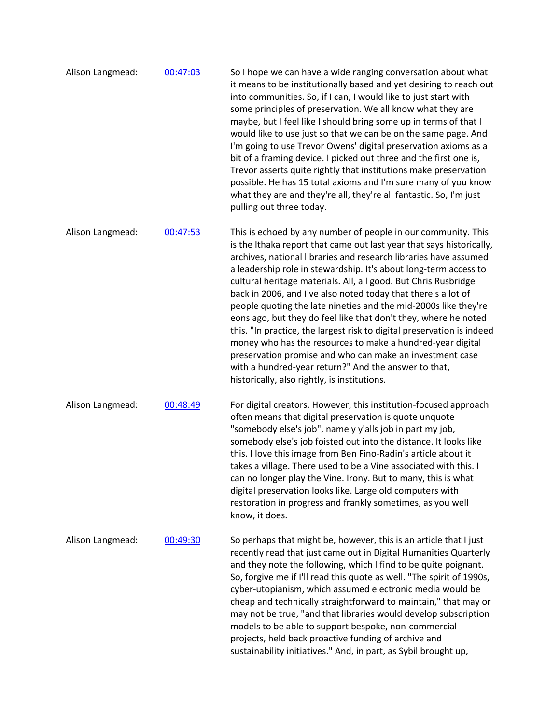| Alison Langmead: | 00:47:03 | So I hope we can have a wide ranging conversation about what<br>it means to be institutionally based and yet desiring to reach out<br>into communities. So, if I can, I would like to just start with<br>some principles of preservation. We all know what they are<br>maybe, but I feel like I should bring some up in terms of that I<br>would like to use just so that we can be on the same page. And<br>I'm going to use Trevor Owens' digital preservation axioms as a<br>bit of a framing device. I picked out three and the first one is,<br>Trevor asserts quite rightly that institutions make preservation<br>possible. He has 15 total axioms and I'm sure many of you know<br>what they are and they're all, they're all fantastic. So, I'm just<br>pulling out three today.                                                                           |
|------------------|----------|---------------------------------------------------------------------------------------------------------------------------------------------------------------------------------------------------------------------------------------------------------------------------------------------------------------------------------------------------------------------------------------------------------------------------------------------------------------------------------------------------------------------------------------------------------------------------------------------------------------------------------------------------------------------------------------------------------------------------------------------------------------------------------------------------------------------------------------------------------------------|
| Alison Langmead: | 00:47:53 | This is echoed by any number of people in our community. This<br>is the Ithaka report that came out last year that says historically,<br>archives, national libraries and research libraries have assumed<br>a leadership role in stewardship. It's about long-term access to<br>cultural heritage materials. All, all good. But Chris Rusbridge<br>back in 2006, and I've also noted today that there's a lot of<br>people quoting the late nineties and the mid-2000s like they're<br>eons ago, but they do feel like that don't they, where he noted<br>this. "In practice, the largest risk to digital preservation is indeed<br>money who has the resources to make a hundred-year digital<br>preservation promise and who can make an investment case<br>with a hundred-year return?" And the answer to that,<br>historically, also rightly, is institutions. |
| Alison Langmead: | 00:48:49 | For digital creators. However, this institution-focused approach<br>often means that digital preservation is quote unquote<br>"somebody else's job", namely y'alls job in part my job,<br>somebody else's job foisted out into the distance. It looks like<br>this. I love this image from Ben Fino-Radin's article about it<br>takes a village. There used to be a Vine associated with this. I<br>can no longer play the Vine. Irony. But to many, this is what<br>digital preservation looks like. Large old computers with<br>restoration in progress and frankly sometimes, as you well<br>know, it does.                                                                                                                                                                                                                                                      |
| Alison Langmead: | 00:49:30 | So perhaps that might be, however, this is an article that I just<br>recently read that just came out in Digital Humanities Quarterly<br>and they note the following, which I find to be quite poignant.<br>So, forgive me if I'll read this quote as well. "The spirit of 1990s,<br>cyber-utopianism, which assumed electronic media would be<br>cheap and technically straightforward to maintain," that may or<br>may not be true, "and that libraries would develop subscription<br>models to be able to support bespoke, non-commercial<br>projects, held back proactive funding of archive and<br>sustainability initiatives." And, in part, as Sybil brought up,                                                                                                                                                                                             |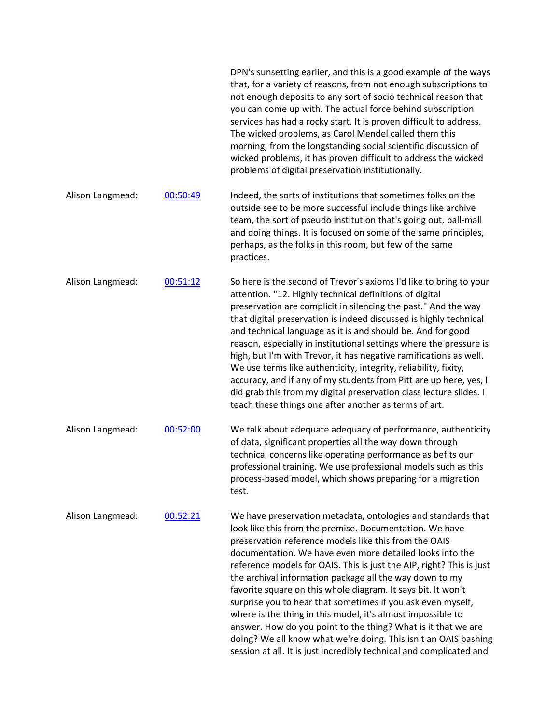|                  |          | DPN's sunsetting earlier, and this is a good example of the ways<br>that, for a variety of reasons, from not enough subscriptions to<br>not enough deposits to any sort of socio technical reason that<br>you can come up with. The actual force behind subscription<br>services has had a rocky start. It is proven difficult to address.<br>The wicked problems, as Carol Mendel called them this<br>morning, from the longstanding social scientific discussion of<br>wicked problems, it has proven difficult to address the wicked<br>problems of digital preservation institutionally.                                                                                                                                                                                             |
|------------------|----------|------------------------------------------------------------------------------------------------------------------------------------------------------------------------------------------------------------------------------------------------------------------------------------------------------------------------------------------------------------------------------------------------------------------------------------------------------------------------------------------------------------------------------------------------------------------------------------------------------------------------------------------------------------------------------------------------------------------------------------------------------------------------------------------|
| Alison Langmead: | 00:50:49 | Indeed, the sorts of institutions that sometimes folks on the<br>outside see to be more successful include things like archive<br>team, the sort of pseudo institution that's going out, pall-mall<br>and doing things. It is focused on some of the same principles,<br>perhaps, as the folks in this room, but few of the same<br>practices.                                                                                                                                                                                                                                                                                                                                                                                                                                           |
| Alison Langmead: | 00:51:12 | So here is the second of Trevor's axioms I'd like to bring to your<br>attention. "12. Highly technical definitions of digital<br>preservation are complicit in silencing the past." And the way<br>that digital preservation is indeed discussed is highly technical<br>and technical language as it is and should be. And for good<br>reason, especially in institutional settings where the pressure is<br>high, but I'm with Trevor, it has negative ramifications as well.<br>We use terms like authenticity, integrity, reliability, fixity,<br>accuracy, and if any of my students from Pitt are up here, yes, I<br>did grab this from my digital preservation class lecture slides. I<br>teach these things one after another as terms of art.                                    |
| Alison Langmead: | 00:52:00 | We talk about adequate adequacy of performance, authenticity<br>of data, significant properties all the way down through<br>technical concerns like operating performance as befits our<br>professional training. We use professional models such as this<br>process-based model, which shows preparing for a migration<br>test.                                                                                                                                                                                                                                                                                                                                                                                                                                                         |
| Alison Langmead: | 00:52:21 | We have preservation metadata, ontologies and standards that<br>look like this from the premise. Documentation. We have<br>preservation reference models like this from the OAIS<br>documentation. We have even more detailed looks into the<br>reference models for OAIS. This is just the AIP, right? This is just<br>the archival information package all the way down to my<br>favorite square on this whole diagram. It says bit. It won't<br>surprise you to hear that sometimes if you ask even myself,<br>where is the thing in this model, it's almost impossible to<br>answer. How do you point to the thing? What is it that we are<br>doing? We all know what we're doing. This isn't an OAIS bashing<br>session at all. It is just incredibly technical and complicated and |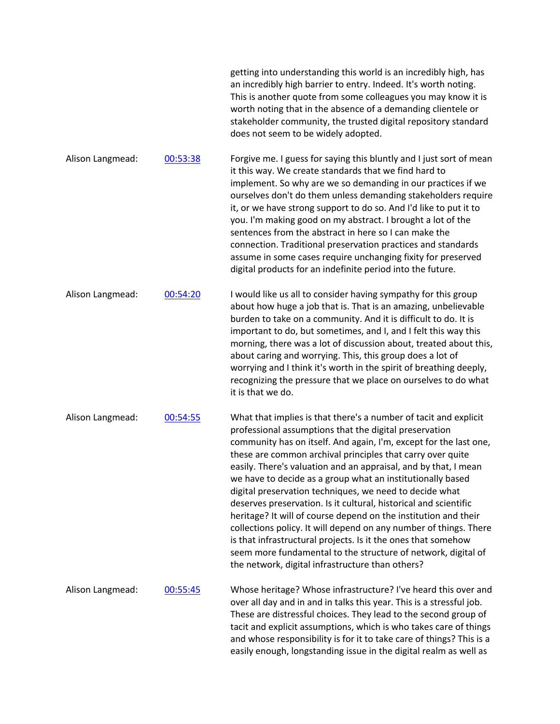|                  |          | getting into understanding this world is an incredibly high, has<br>an incredibly high barrier to entry. Indeed. It's worth noting.<br>This is another quote from some colleagues you may know it is<br>worth noting that in the absence of a demanding clientele or<br>stakeholder community, the trusted digital repository standard<br>does not seem to be widely adopted.                                                                                                                                                                                                                                                                                                                                                                                                                                                                               |
|------------------|----------|-------------------------------------------------------------------------------------------------------------------------------------------------------------------------------------------------------------------------------------------------------------------------------------------------------------------------------------------------------------------------------------------------------------------------------------------------------------------------------------------------------------------------------------------------------------------------------------------------------------------------------------------------------------------------------------------------------------------------------------------------------------------------------------------------------------------------------------------------------------|
| Alison Langmead: | 00:53:38 | Forgive me. I guess for saying this bluntly and I just sort of mean<br>it this way. We create standards that we find hard to<br>implement. So why are we so demanding in our practices if we<br>ourselves don't do them unless demanding stakeholders require<br>it, or we have strong support to do so. And I'd like to put it to<br>you. I'm making good on my abstract. I brought a lot of the<br>sentences from the abstract in here so I can make the<br>connection. Traditional preservation practices and standards<br>assume in some cases require unchanging fixity for preserved<br>digital products for an indefinite period into the future.                                                                                                                                                                                                    |
| Alison Langmead: | 00:54:20 | I would like us all to consider having sympathy for this group<br>about how huge a job that is. That is an amazing, unbelievable<br>burden to take on a community. And it is difficult to do. It is<br>important to do, but sometimes, and I, and I felt this way this<br>morning, there was a lot of discussion about, treated about this,<br>about caring and worrying. This, this group does a lot of<br>worrying and I think it's worth in the spirit of breathing deeply,<br>recognizing the pressure that we place on ourselves to do what<br>it is that we do.                                                                                                                                                                                                                                                                                       |
| Alison Langmead: | 00:54:55 | What that implies is that there's a number of tacit and explicit<br>professional assumptions that the digital preservation<br>community has on itself. And again, I'm, except for the last one,<br>these are common archival principles that carry over quite<br>easily. There's valuation and an appraisal, and by that, I mean<br>we have to decide as a group what an institutionally based<br>digital preservation techniques, we need to decide what<br>deserves preservation. Is it cultural, historical and scientific<br>heritage? It will of course depend on the institution and their<br>collections policy. It will depend on any number of things. There<br>is that infrastructural projects. Is it the ones that somehow<br>seem more fundamental to the structure of network, digital of<br>the network, digital infrastructure than others? |
| Alison Langmead: | 00:55:45 | Whose heritage? Whose infrastructure? I've heard this over and<br>over all day and in and in talks this year. This is a stressful job.<br>These are distressful choices. They lead to the second group of<br>tacit and explicit assumptions, which is who takes care of things<br>and whose responsibility is for it to take care of things? This is a<br>easily enough, longstanding issue in the digital realm as well as                                                                                                                                                                                                                                                                                                                                                                                                                                 |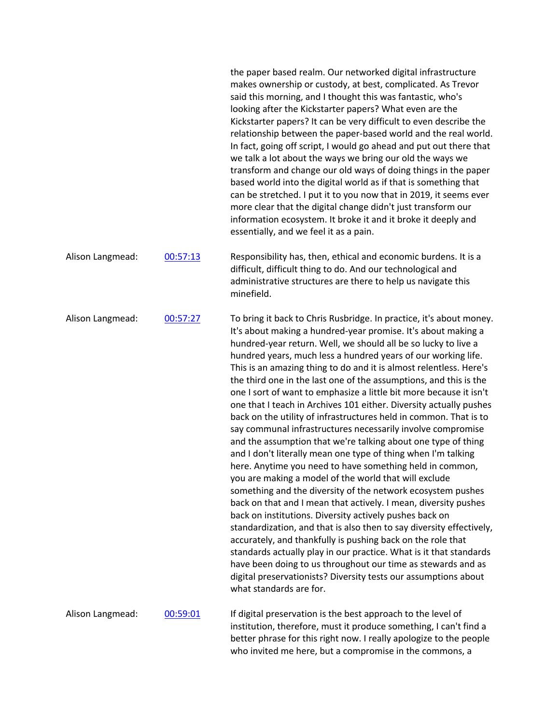|                  |          | the paper based realm. Our networked digital infrastructure<br>makes ownership or custody, at best, complicated. As Trevor<br>said this morning, and I thought this was fantastic, who's<br>looking after the Kickstarter papers? What even are the<br>Kickstarter papers? It can be very difficult to even describe the<br>relationship between the paper-based world and the real world.<br>In fact, going off script, I would go ahead and put out there that<br>we talk a lot about the ways we bring our old the ways we<br>transform and change our old ways of doing things in the paper<br>based world into the digital world as if that is something that<br>can be stretched. I put it to you now that in 2019, it seems ever<br>more clear that the digital change didn't just transform our<br>information ecosystem. It broke it and it broke it deeply and<br>essentially, and we feel it as a pain.                                                                                                                                                                                                                                                                                                                                                                                                                                                                                                                                                                                                                |
|------------------|----------|-----------------------------------------------------------------------------------------------------------------------------------------------------------------------------------------------------------------------------------------------------------------------------------------------------------------------------------------------------------------------------------------------------------------------------------------------------------------------------------------------------------------------------------------------------------------------------------------------------------------------------------------------------------------------------------------------------------------------------------------------------------------------------------------------------------------------------------------------------------------------------------------------------------------------------------------------------------------------------------------------------------------------------------------------------------------------------------------------------------------------------------------------------------------------------------------------------------------------------------------------------------------------------------------------------------------------------------------------------------------------------------------------------------------------------------------------------------------------------------------------------------------------------------|
| Alison Langmead: | 00:57:13 | Responsibility has, then, ethical and economic burdens. It is a<br>difficult, difficult thing to do. And our technological and<br>administrative structures are there to help us navigate this<br>minefield.                                                                                                                                                                                                                                                                                                                                                                                                                                                                                                                                                                                                                                                                                                                                                                                                                                                                                                                                                                                                                                                                                                                                                                                                                                                                                                                      |
| Alison Langmead: | 00:57:27 | To bring it back to Chris Rusbridge. In practice, it's about money.<br>It's about making a hundred-year promise. It's about making a<br>hundred-year return. Well, we should all be so lucky to live a<br>hundred years, much less a hundred years of our working life.<br>This is an amazing thing to do and it is almost relentless. Here's<br>the third one in the last one of the assumptions, and this is the<br>one I sort of want to emphasize a little bit more because it isn't<br>one that I teach in Archives 101 either. Diversity actually pushes<br>back on the utility of infrastructures held in common. That is to<br>say communal infrastructures necessarily involve compromise<br>and the assumption that we're talking about one type of thing<br>and I don't literally mean one type of thing when I'm talking<br>here. Anytime you need to have something held in common,<br>you are making a model of the world that will exclude<br>something and the diversity of the network ecosystem pushes<br>back on that and I mean that actively. I mean, diversity pushes<br>back on institutions. Diversity actively pushes back on<br>standardization, and that is also then to say diversity effectively,<br>accurately, and thankfully is pushing back on the role that<br>standards actually play in our practice. What is it that standards<br>have been doing to us throughout our time as stewards and as<br>digital preservationists? Diversity tests our assumptions about<br>what standards are for. |
| Alison Langmead: | 00:59:01 | If digital preservation is the best approach to the level of<br>institution, therefore, must it produce something, I can't find a<br>better phrase for this right now. I really apologize to the people                                                                                                                                                                                                                                                                                                                                                                                                                                                                                                                                                                                                                                                                                                                                                                                                                                                                                                                                                                                                                                                                                                                                                                                                                                                                                                                           |

who invited me here, but a compromise in the commons, a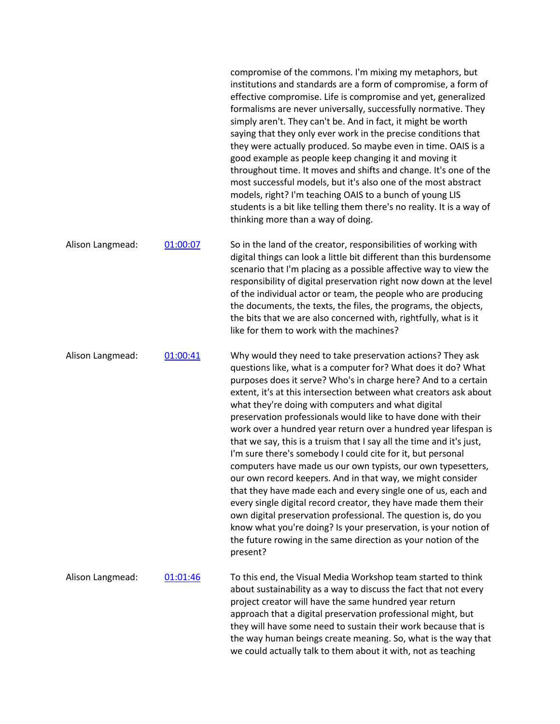|                  |          | compromise of the commons. I'm mixing my metaphors, but<br>institutions and standards are a form of compromise, a form of<br>effective compromise. Life is compromise and yet, generalized<br>formalisms are never universally, successfully normative. They<br>simply aren't. They can't be. And in fact, it might be worth<br>saying that they only ever work in the precise conditions that<br>they were actually produced. So maybe even in time. OAIS is a<br>good example as people keep changing it and moving it<br>throughout time. It moves and shifts and change. It's one of the<br>most successful models, but it's also one of the most abstract<br>models, right? I'm teaching OAIS to a bunch of young LIS<br>students is a bit like telling them there's no reality. It is a way of<br>thinking more than a way of doing.                                                                                                                                                                                                                                             |
|------------------|----------|----------------------------------------------------------------------------------------------------------------------------------------------------------------------------------------------------------------------------------------------------------------------------------------------------------------------------------------------------------------------------------------------------------------------------------------------------------------------------------------------------------------------------------------------------------------------------------------------------------------------------------------------------------------------------------------------------------------------------------------------------------------------------------------------------------------------------------------------------------------------------------------------------------------------------------------------------------------------------------------------------------------------------------------------------------------------------------------|
| Alison Langmead: | 01:00:07 | So in the land of the creator, responsibilities of working with<br>digital things can look a little bit different than this burdensome<br>scenario that I'm placing as a possible affective way to view the<br>responsibility of digital preservation right now down at the level<br>of the individual actor or team, the people who are producing<br>the documents, the texts, the files, the programs, the objects,<br>the bits that we are also concerned with, rightfully, what is it<br>like for them to work with the machines?                                                                                                                                                                                                                                                                                                                                                                                                                                                                                                                                                  |
| Alison Langmead: | 01:00:41 | Why would they need to take preservation actions? They ask<br>questions like, what is a computer for? What does it do? What<br>purposes does it serve? Who's in charge here? And to a certain<br>extent, it's at this intersection between what creators ask about<br>what they're doing with computers and what digital<br>preservation professionals would like to have done with their<br>work over a hundred year return over a hundred year lifespan is<br>that we say, this is a truism that I say all the time and it's just,<br>I'm sure there's somebody I could cite for it, but personal<br>computers have made us our own typists, our own typesetters,<br>our own record keepers. And in that way, we might consider<br>that they have made each and every single one of us, each and<br>every single digital record creator, they have made them their<br>own digital preservation professional. The question is, do you<br>know what you're doing? Is your preservation, is your notion of<br>the future rowing in the same direction as your notion of the<br>present? |
| Alison Langmead: | 01:01:46 | To this end, the Visual Media Workshop team started to think<br>about sustainability as a way to discuss the fact that not every<br>project creator will have the same hundred year return<br>approach that a digital preservation professional might, but<br>they will have some need to sustain their work because that is<br>the way human beings create meaning. So, what is the way that<br>we could actually talk to them about it with, not as teaching                                                                                                                                                                                                                                                                                                                                                                                                                                                                                                                                                                                                                         |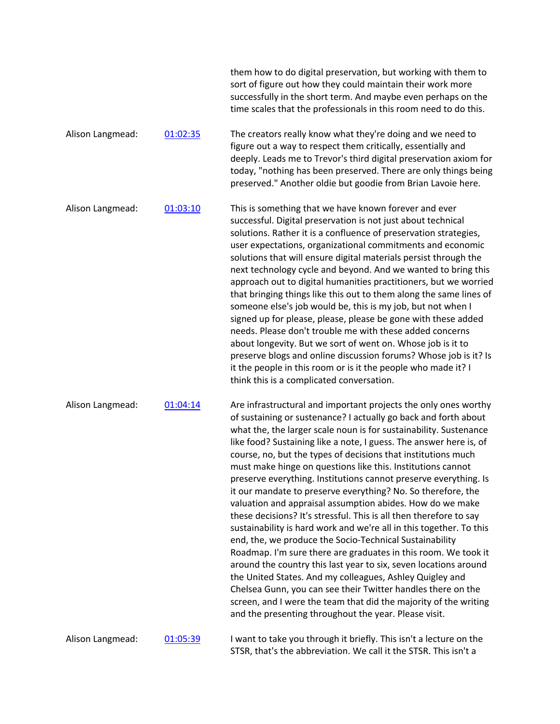|                  |          | them how to do digital preservation, but working with them to<br>sort of figure out how they could maintain their work more<br>successfully in the short term. And maybe even perhaps on the<br>time scales that the professionals in this room need to do this.                                                                                                                                                                                                                                                                                                                                                                                                                                                                                                                                                                                                                                                                                                                                                                                                                                                                                                                                                      |
|------------------|----------|-----------------------------------------------------------------------------------------------------------------------------------------------------------------------------------------------------------------------------------------------------------------------------------------------------------------------------------------------------------------------------------------------------------------------------------------------------------------------------------------------------------------------------------------------------------------------------------------------------------------------------------------------------------------------------------------------------------------------------------------------------------------------------------------------------------------------------------------------------------------------------------------------------------------------------------------------------------------------------------------------------------------------------------------------------------------------------------------------------------------------------------------------------------------------------------------------------------------------|
| Alison Langmead: | 01:02:35 | The creators really know what they're doing and we need to<br>figure out a way to respect them critically, essentially and<br>deeply. Leads me to Trevor's third digital preservation axiom for<br>today, "nothing has been preserved. There are only things being<br>preserved." Another oldie but goodie from Brian Lavoie here.                                                                                                                                                                                                                                                                                                                                                                                                                                                                                                                                                                                                                                                                                                                                                                                                                                                                                    |
| Alison Langmead: | 01:03:10 | This is something that we have known forever and ever<br>successful. Digital preservation is not just about technical<br>solutions. Rather it is a confluence of preservation strategies,<br>user expectations, organizational commitments and economic<br>solutions that will ensure digital materials persist through the<br>next technology cycle and beyond. And we wanted to bring this<br>approach out to digital humanities practitioners, but we worried<br>that bringing things like this out to them along the same lines of<br>someone else's job would be, this is my job, but not when I<br>signed up for please, please, please be gone with these added<br>needs. Please don't trouble me with these added concerns<br>about longevity. But we sort of went on. Whose job is it to<br>preserve blogs and online discussion forums? Whose job is it? Is<br>it the people in this room or is it the people who made it? I<br>think this is a complicated conversation.                                                                                                                                                                                                                                   |
| Alison Langmead: | 01:04:14 | Are infrastructural and important projects the only ones worthy<br>of sustaining or sustenance? I actually go back and forth about<br>what the, the larger scale noun is for sustainability. Sustenance<br>like food? Sustaining like a note, I guess. The answer here is, of<br>course, no, but the types of decisions that institutions much<br>must make hinge on questions like this. Institutions cannot<br>preserve everything. Institutions cannot preserve everything. Is<br>it our mandate to preserve everything? No. So therefore, the<br>valuation and appraisal assumption abides. How do we make<br>these decisions? It's stressful. This is all then therefore to say<br>sustainability is hard work and we're all in this together. To this<br>end, the, we produce the Socio-Technical Sustainability<br>Roadmap. I'm sure there are graduates in this room. We took it<br>around the country this last year to six, seven locations around<br>the United States. And my colleagues, Ashley Quigley and<br>Chelsea Gunn, you can see their Twitter handles there on the<br>screen, and I were the team that did the majority of the writing<br>and the presenting throughout the year. Please visit. |
| Alison Langmead: | 01:05:39 | I want to take you through it briefly. This isn't a lecture on the<br>STSR, that's the abbreviation. We call it the STSR. This isn't a                                                                                                                                                                                                                                                                                                                                                                                                                                                                                                                                                                                                                                                                                                                                                                                                                                                                                                                                                                                                                                                                                |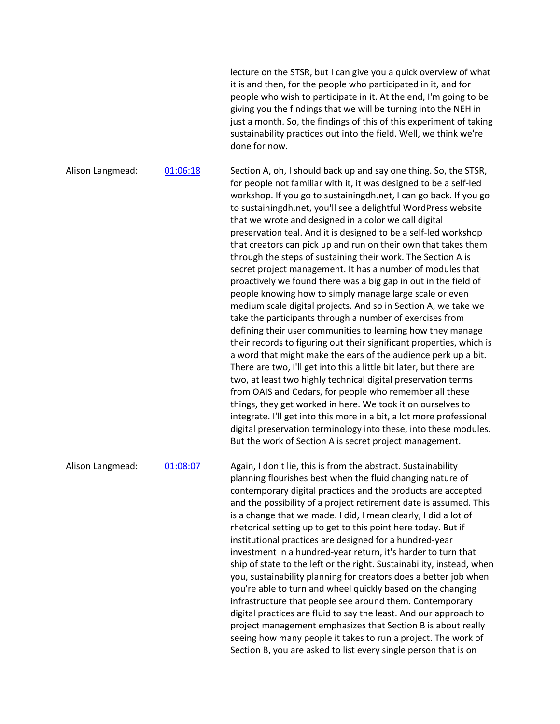lecture on the STSR, but I can give you a quick overview of what it is and then, for the people who participated in it, and for people who wish to participate in it. At the end, I'm going to be giving you the findings that we will be turning into the NEH in just a month. So, the findings of this of this experiment of taking sustainability practices out into the field. Well, we think we're done for now.

Alison Langmead: 01:06:18 Section A, oh, I should back up and say one thing. So, the STSR, for people not familiar with it, it was designed to be a self-led workshop. If you go to sustainingdh.net, I can go back. If you go to sustainingdh.net, you'll see a delightful WordPress website that we wrote and designed in a color we call digital preservation teal. And it is designed to be a self-led workshop that creators can pick up and run on their own that takes them through the steps of sustaining their work. The Section A is secret project management. It has a number of modules that proactively we found there was a big gap in out in the field of people knowing how to simply manage large scale or even medium scale digital projects. And so in Section A, we take we take the participants through a number of exercises from defining their user communities to learning how they manage their records to figuring out their significant properties, which is a word that might make the ears of the audience perk up a bit. There are two, I'll get into this a little bit later, but there are two, at least two highly technical digital preservation terms from OAIS and Cedars, for people who remember all these things, they get worked in here. We took it on ourselves to integrate. I'll get into this more in a bit, a lot more professional digital preservation terminology into these, into these modules. But the work of Section A is secret project management.

Alison Langmead: 01:08:07 Again, I don't lie, this is from the abstract. Sustainability planning flourishes best when the fluid changing nature of contemporary digital practices and the products are accepted and the possibility of a project retirement date is assumed. This is a change that we made. I did, I mean clearly, I did a lot of rhetorical setting up to get to this point here today. But if institutional practices are designed for a hundred-year investment in a hundred-year return, it's harder to turn that ship of state to the left or the right. Sustainability, instead, when you, sustainability planning for creators does a better job when you're able to turn and wheel quickly based on the changing infrastructure that people see around them. Contemporary digital practices are fluid to say the least. And our approach to project management emphasizes that Section B is about really seeing how many people it takes to run a project. The work of Section B, you are asked to list every single person that is on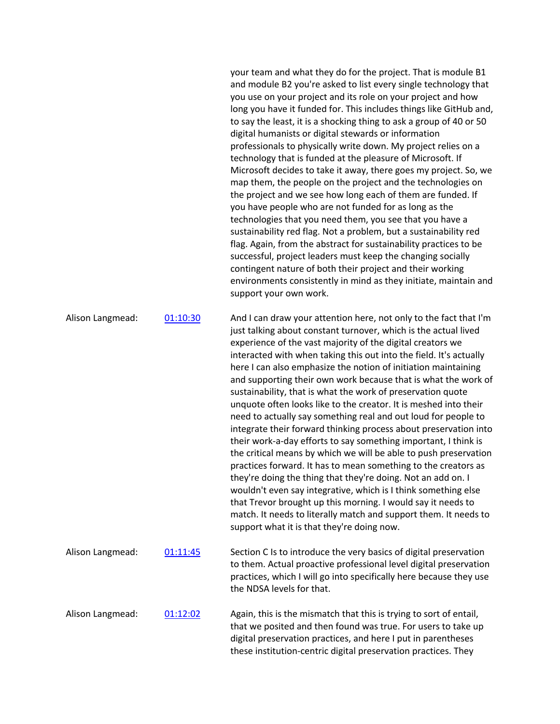your team and what they do for the project. That is module B1 and module B2 you're asked to list every single technology that you use on your project and its role on your project and how long you have it funded for. This includes things like GitHub and, to say the least, it is a shocking thing to ask a group of 40 or 50 digital humanists or digital stewards or information professionals to physically write down. My project relies on a technology that is funded at the pleasure of Microsoft. If Microsoft decides to take it away, there goes my project. So, we map them, the people on the project and the technologies on the project and we see how long each of them are funded. If you have people who are not funded for as long as the technologies that you need them, you see that you have a sustainability red flag. Not a problem, but a sustainability red flag. Again, from the abstract for sustainability practices to be successful, project leaders must keep the changing socially contingent nature of both their project and their working environments consistently in mind as they initiate, maintain and support your own work.

these institution-centric digital preservation practices. They

Alison Langmead: 01:10:30 And I can draw your attention here, not only to the fact that I'm just talking about constant turnover, which is the actual lived experience of the vast majority of the digital creators we interacted with when taking this out into the field. It's actually here I can also emphasize the notion of initiation maintaining and supporting their own work because that is what the work of sustainability, that is what the work of preservation quote unquote often looks like to the creator. It is meshed into their need to actually say something real and out loud for people to integrate their forward thinking process about preservation into their work-a-day efforts to say something important, I think is the critical means by which we will be able to push preservation practices forward. It has to mean something to the creators as they're doing the thing that they're doing. Not an add on. I wouldn't even say integrative, which is I think something else that Trevor brought up this morning. I would say it needs to match. It needs to literally match and support them. It needs to support what it is that they're doing now. Alison Langmead:  $0.1:11:45$  Section C Is to introduce the very basics of digital preservation to them. Actual proactive professional level digital preservation practices, which I will go into specifically here because they use the NDSA levels for that. Alison Langmead: 01:12:02 Again, this is the mismatch that this is trying to sort of entail, that we posited and then found was true. For users to take up digital preservation practices, and here I put in parentheses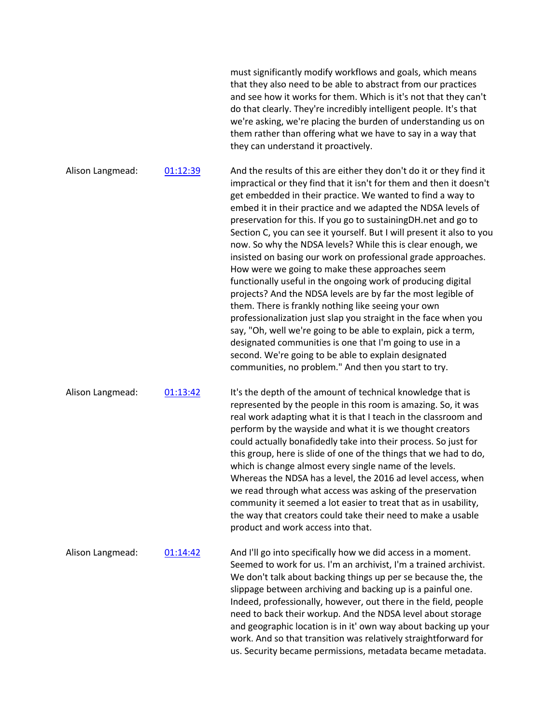|                  |          | must significantly modify workflows and goals, which means<br>that they also need to be able to abstract from our practices<br>and see how it works for them. Which is it's not that they can't<br>do that clearly. They're incredibly intelligent people. It's that<br>we're asking, we're placing the burden of understanding us on<br>them rather than offering what we have to say in a way that<br>they can understand it proactively.                                                                                                                                                                                                                                                                                                                                                                                                                                                                                                                                                                                                                                                                     |
|------------------|----------|-----------------------------------------------------------------------------------------------------------------------------------------------------------------------------------------------------------------------------------------------------------------------------------------------------------------------------------------------------------------------------------------------------------------------------------------------------------------------------------------------------------------------------------------------------------------------------------------------------------------------------------------------------------------------------------------------------------------------------------------------------------------------------------------------------------------------------------------------------------------------------------------------------------------------------------------------------------------------------------------------------------------------------------------------------------------------------------------------------------------|
| Alison Langmead: | 01:12:39 | And the results of this are either they don't do it or they find it<br>impractical or they find that it isn't for them and then it doesn't<br>get embedded in their practice. We wanted to find a way to<br>embed it in their practice and we adapted the NDSA levels of<br>preservation for this. If you go to sustaining DH net and go to<br>Section C, you can see it yourself. But I will present it also to you<br>now. So why the NDSA levels? While this is clear enough, we<br>insisted on basing our work on professional grade approaches.<br>How were we going to make these approaches seem<br>functionally useful in the ongoing work of producing digital<br>projects? And the NDSA levels are by far the most legible of<br>them. There is frankly nothing like seeing your own<br>professionalization just slap you straight in the face when you<br>say, "Oh, well we're going to be able to explain, pick a term,<br>designated communities is one that I'm going to use in a<br>second. We're going to be able to explain designated<br>communities, no problem." And then you start to try. |
| Alison Langmead: | 01:13:42 | It's the depth of the amount of technical knowledge that is<br>represented by the people in this room is amazing. So, it was<br>real work adapting what it is that I teach in the classroom and<br>perform by the wayside and what it is we thought creators<br>could actually bonafidedly take into their process. So just for<br>this group, here is slide of one of the things that we had to do,<br>which is change almost every single name of the levels.<br>Whereas the NDSA has a level, the 2016 ad level access, when<br>we read through what access was asking of the preservation<br>community it seemed a lot easier to treat that as in usability,<br>the way that creators could take their need to make a usable<br>product and work access into that.                                                                                                                                                                                                                                                                                                                                          |
| Alison Langmead: | 01:14:42 | And I'll go into specifically how we did access in a moment.<br>Seemed to work for us. I'm an archivist, I'm a trained archivist.<br>We don't talk about backing things up per se because the, the<br>slippage between archiving and backing up is a painful one.<br>Indeed, professionally, however, out there in the field, people<br>need to back their workup. And the NDSA level about storage<br>and geographic location is in it' own way about backing up your<br>work. And so that transition was relatively straightforward for<br>us. Security became permissions, metadata became metadata.                                                                                                                                                                                                                                                                                                                                                                                                                                                                                                         |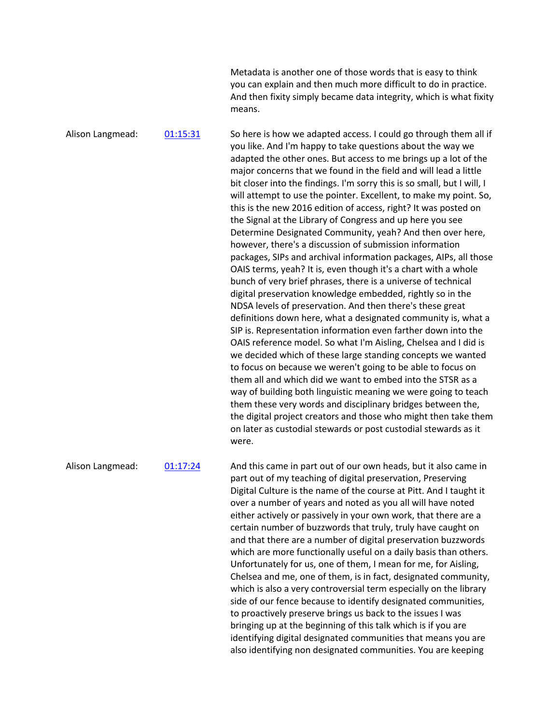Metadata is another one of those words that is easy to think you can explain and then much more difficult to do in practice. And then fixity simply became data integrity, which is what fixity means.

Alison Langmead: 01:15:31 So here is how we adapted access. I could go through them all if you like. And I'm happy to take questions about the way we adapted the other ones. But access to me brings up a lot of the major concerns that we found in the field and will lead a little bit closer into the findings. I'm sorry this is so small, but I will, I will attempt to use the pointer. Excellent, to make my point. So, this is the new 2016 edition of access, right? It was posted on the Signal at the Library of Congress and up here you see Determine Designated Community, yeah? And then over here, however, there's a discussion of submission information packages, SIPs and archival information packages, AIPs, all those OAIS terms, yeah? It is, even though it's a chart with a whole bunch of very brief phrases, there is a universe of technical digital preservation knowledge embedded, rightly so in the NDSA levels of preservation. And then there's these great definitions down here, what a designated community is, what a SIP is. Representation information even farther down into the OAIS reference model. So what I'm Aisling, Chelsea and I did is we decided which of these large standing concepts we wanted to focus on because we weren't going to be able to focus on them all and which did we want to embed into the STSR as a way of building both linguistic meaning we were going to teach them these very words and disciplinary bridges between the, the digital project creators and those who might then take them on later as custodial stewards or post custodial stewards as it were.

Alison Langmead: 01:17:24 And this came in part out of our own heads, but it also came in part out of my teaching of digital preservation, Preserving Digital Culture is the name of the course at Pitt. And I taught it over a number of years and noted as you all will have noted either actively or passively in your own work, that there are a certain number of buzzwords that truly, truly have caught on and that there are a number of digital preservation buzzwords which are more functionally useful on a daily basis than others. Unfortunately for us, one of them, I mean for me, for Aisling, Chelsea and me, one of them, is in fact, designated community, which is also a very controversial term especially on the library side of our fence because to identify designated communities, to proactively preserve brings us back to the issues I was bringing up at the beginning of this talk which is if you are identifying digital designated communities that means you are also identifying non designated communities. You are keeping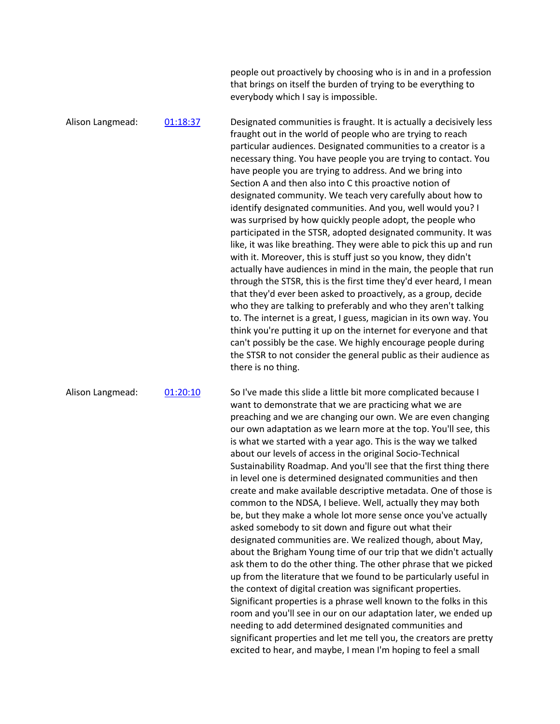people out proactively by choosing who is in and in a profession that brings on itself the burden of trying to be everything to everybody which I say is impossible.

Alison Langmead: 01:18:37 Designated communities is fraught. It is actually a decisively less fraught out in the world of people who are trying to reach particular audiences. Designated communities to a creator is a necessary thing. You have people you are trying to contact. You have people you are trying to address. And we bring into Section A and then also into C this proactive notion of designated community. We teach very carefully about how to identify designated communities. And you, well would you? I was surprised by how quickly people adopt, the people who participated in the STSR, adopted designated community. It was like, it was like breathing. They were able to pick this up and run with it. Moreover, this is stuff just so you know, they didn't actually have audiences in mind in the main, the people that run through the STSR, this is the first time they'd ever heard, I mean that they'd ever been asked to proactively, as a group, decide who they are talking to preferably and who they aren't talking to. The internet is a great, I guess, magician in its own way. You think you're putting it up on the internet for everyone and that can't possibly be the case. We highly encourage people during the STSR to not consider the general public as their audience as there is no thing.

Alison Langmead: 01:20:10 So I've made this slide a little bit more complicated because I want to demonstrate that we are practicing what we are preaching and we are changing our own. We are even changing our own adaptation as we learn more at the top. You'll see, this is what we started with a year ago. This is the way we talked about our levels of access in the original Socio-Technical Sustainability Roadmap. And you'll see that the first thing there in level one is determined designated communities and then create and make available descriptive metadata. One of those is common to the NDSA, I believe. Well, actually they may both be, but they make a whole lot more sense once you've actually asked somebody to sit down and figure out what their designated communities are. We realized though, about May, about the Brigham Young time of our trip that we didn't actually ask them to do the other thing. The other phrase that we picked up from the literature that we found to be particularly useful in the context of digital creation was significant properties. Significant properties is a phrase well known to the folks in this room and you'll see in our on our adaptation later, we ended up needing to add determined designated communities and significant properties and let me tell you, the creators are pretty excited to hear, and maybe, I mean I'm hoping to feel a small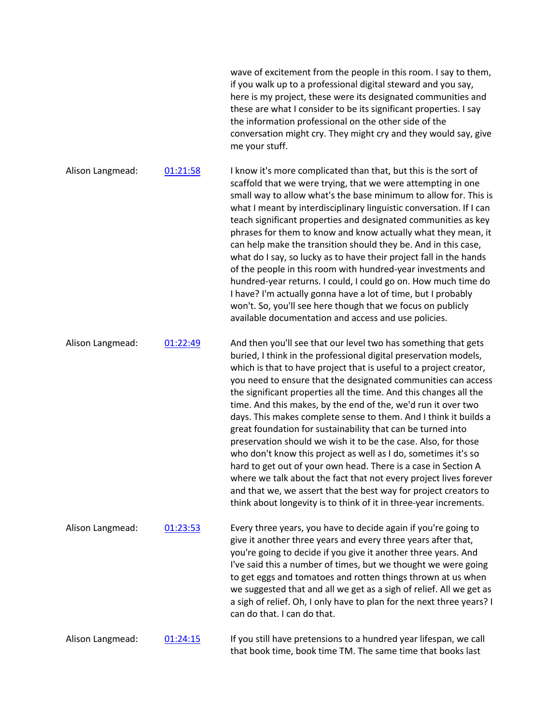|                  |          | wave of excitement from the people in this room. I say to them,<br>if you walk up to a professional digital steward and you say,<br>here is my project, these were its designated communities and<br>these are what I consider to be its significant properties. I say<br>the information professional on the other side of the<br>conversation might cry. They might cry and they would say, give<br>me your stuff.                                                                                                                                                                                                                                                                                                                                                                                                                                                                                                                                                   |
|------------------|----------|------------------------------------------------------------------------------------------------------------------------------------------------------------------------------------------------------------------------------------------------------------------------------------------------------------------------------------------------------------------------------------------------------------------------------------------------------------------------------------------------------------------------------------------------------------------------------------------------------------------------------------------------------------------------------------------------------------------------------------------------------------------------------------------------------------------------------------------------------------------------------------------------------------------------------------------------------------------------|
| Alison Langmead: | 01:21:58 | I know it's more complicated than that, but this is the sort of<br>scaffold that we were trying, that we were attempting in one<br>small way to allow what's the base minimum to allow for. This is<br>what I meant by interdisciplinary linguistic conversation. If I can<br>teach significant properties and designated communities as key<br>phrases for them to know and know actually what they mean, it<br>can help make the transition should they be. And in this case,<br>what do I say, so lucky as to have their project fall in the hands<br>of the people in this room with hundred-year investments and<br>hundred-year returns. I could, I could go on. How much time do<br>I have? I'm actually gonna have a lot of time, but I probably<br>won't. So, you'll see here though that we focus on publicly<br>available documentation and access and use policies.                                                                                        |
| Alison Langmead: | 01:22:49 | And then you'll see that our level two has something that gets<br>buried, I think in the professional digital preservation models,<br>which is that to have project that is useful to a project creator,<br>you need to ensure that the designated communities can access<br>the significant properties all the time. And this changes all the<br>time. And this makes, by the end of the, we'd run it over two<br>days. This makes complete sense to them. And I think it builds a<br>great foundation for sustainability that can be turned into<br>preservation should we wish it to be the case. Also, for those<br>who don't know this project as well as I do, sometimes it's so<br>hard to get out of your own head. There is a case in Section A<br>where we talk about the fact that not every project lives forever<br>and that we, we assert that the best way for project creators to<br>think about longevity is to think of it in three-year increments. |
| Alison Langmead: | 01:23:53 | Every three years, you have to decide again if you're going to<br>give it another three years and every three years after that,<br>you're going to decide if you give it another three years. And<br>I've said this a number of times, but we thought we were going<br>to get eggs and tomatoes and rotten things thrown at us when<br>we suggested that and all we get as a sigh of relief. All we get as<br>a sigh of relief. Oh, I only have to plan for the next three years? I<br>can do that. I can do that.                                                                                                                                                                                                                                                                                                                                                                                                                                                     |
| Alison Langmead: | 01:24:15 | If you still have pretensions to a hundred year lifespan, we call<br>that book time, book time TM. The same time that books last                                                                                                                                                                                                                                                                                                                                                                                                                                                                                                                                                                                                                                                                                                                                                                                                                                       |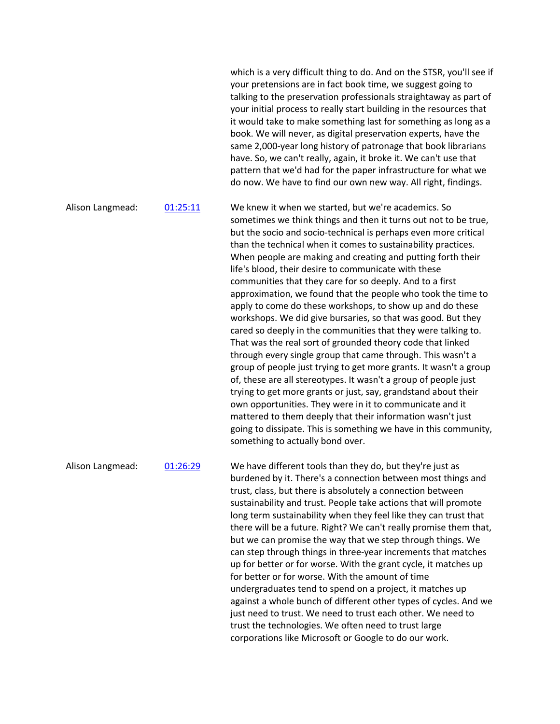which is a very difficult thing to do. And on the STSR, you'll see if your pretensions are in fact book time, we suggest going to talking to the preservation professionals straightaway as part of your initial process to really start building in the resources that it would take to make something last for something as long as a book. We will never, as digital preservation experts, have the same 2,000-year long history of patronage that book librarians have. So, we can't really, again, it broke it. We can't use that pattern that we'd had for the paper infrastructure for what we do now. We have to find our own new way. All right, findings.

Alison Langmead: 01:25:11 We knew it when we started, but we're academics. So sometimes we think things and then it turns out not to be true, but the socio and socio-technical is perhaps even more critical than the technical when it comes to sustainability practices. When people are making and creating and putting forth their life's blood, their desire to communicate with these communities that they care for so deeply. And to a first approximation, we found that the people who took the time to apply to come do these workshops, to show up and do these workshops. We did give bursaries, so that was good. But they cared so deeply in the communities that they were talking to. That was the real sort of grounded theory code that linked through every single group that came through. This wasn't a group of people just trying to get more grants. It wasn't a group of, these are all stereotypes. It wasn't a group of people just trying to get more grants or just, say, grandstand about their own opportunities. They were in it to communicate and it mattered to them deeply that their information wasn't just going to dissipate. This is something we have in this community, something to actually bond over.

Alison Langmead: 01:26:29 We have different tools than they do, but they're just as burdened by it. There's a connection between most things and trust, class, but there is absolutely a connection between sustainability and trust. People take actions that will promote long term sustainability when they feel like they can trust that there will be a future. Right? We can't really promise them that, but we can promise the way that we step through things. We can step through things in three-year increments that matches up for better or for worse. With the grant cycle, it matches up for better or for worse. With the amount of time undergraduates tend to spend on a project, it matches up against a whole bunch of different other types of cycles. And we just need to trust. We need to trust each other. We need to trust the technologies. We often need to trust large corporations like Microsoft or Google to do our work.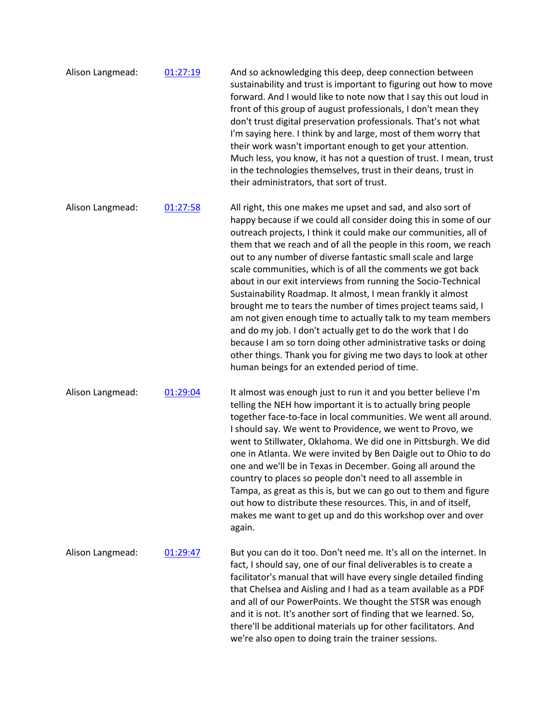- Alison Langmead: 01:27:19 And so acknowledging this deep, deep connection between sustainability and trust is important to figuring out how to move forward. And I would like to note now that I say this out loud in front of this group of august professionals, I don't mean they don't trust digital preservation professionals. That's not what I'm saying here. I think by and large, most of them worry that their work wasn't important enough to get your attention. Much less, you know, it has not a question of trust. I mean, trust in the technologies themselves, trust in their deans, trust in their administrators, that sort of trust. Alison Langmead: 01:27:58 All right, this one makes me upset and sad, and also sort of happy because if we could all consider doing this in some of our outreach projects, I think it could make our communities, all of them that we reach and of all the people in this room, we reach out to any number of diverse fantastic small scale and large scale communities, which is of all the comments we got back about in our exit interviews from running the Socio-Technical Sustainability Roadmap. It almost, I mean frankly it almost brought me to tears the number of times project teams said, I am not given enough time to actually talk to my team members and do my job. I don't actually get to do the work that I do because I am so torn doing other administrative tasks or doing other things. Thank you for giving me two days to look at other human beings for an extended period of time. Alison Langmead: 01:29:04 It almost was enough just to run it and you better believe I'm telling the NEH how important it is to actually bring people together face-to-face in local communities. We went all around. I should say. We went to Providence, we went to Provo, we went to Stillwater, Oklahoma. We did one in Pittsburgh. We did one in Atlanta. We were invited by Ben Daigle out to Ohio to do one and we'll be in Texas in December. Going all around the country to places so people don't need to all assemble in Tampa, as great as this is, but we can go out to them and figure
- makes me want to get up and do this workshop over and over again. Alison Langmead: 01:29:47 But you can do it too. Don't need me. It's all on the internet. In fact, I should say, one of our final deliverables is to create a facilitator's manual that will have every single detailed finding that Chelsea and Aisling and I had as a team available as a PDF and all of our PowerPoints. We thought the STSR was enough and it is not. It's another sort of finding that we learned. So, there'll be additional materials up for other facilitators. And we're also open to doing train the trainer sessions.

out how to distribute these resources. This, in and of itself,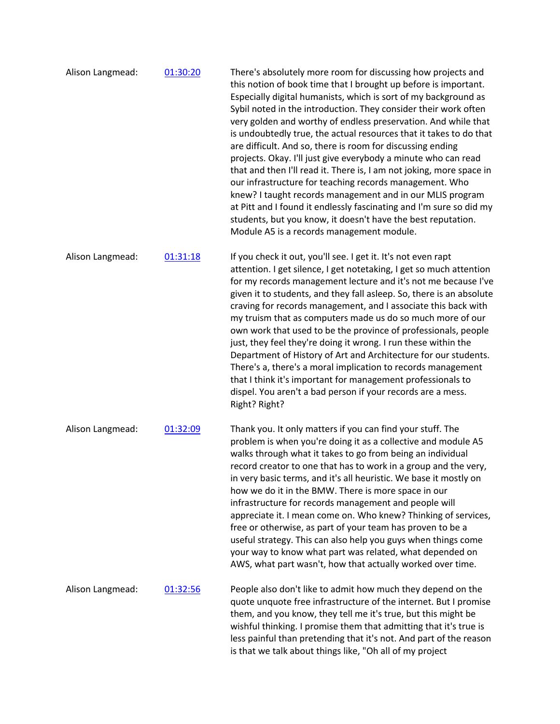| Alison Langmead: | 01:30:20 | There's absolutely more room for discussing how projects and<br>this notion of book time that I brought up before is important.<br>Especially digital humanists, which is sort of my background as<br>Sybil noted in the introduction. They consider their work often<br>very golden and worthy of endless preservation. And while that<br>is undoubtedly true, the actual resources that it takes to do that<br>are difficult. And so, there is room for discussing ending<br>projects. Okay. I'll just give everybody a minute who can read<br>that and then I'll read it. There is, I am not joking, more space in<br>our infrastructure for teaching records management. Who<br>knew? I taught records management and in our MLIS program<br>at Pitt and I found it endlessly fascinating and I'm sure so did my<br>students, but you know, it doesn't have the best reputation.<br>Module A5 is a records management module. |
|------------------|----------|-----------------------------------------------------------------------------------------------------------------------------------------------------------------------------------------------------------------------------------------------------------------------------------------------------------------------------------------------------------------------------------------------------------------------------------------------------------------------------------------------------------------------------------------------------------------------------------------------------------------------------------------------------------------------------------------------------------------------------------------------------------------------------------------------------------------------------------------------------------------------------------------------------------------------------------|
| Alison Langmead: | 01:31:18 | If you check it out, you'll see. I get it. It's not even rapt<br>attention. I get silence, I get notetaking, I get so much attention<br>for my records management lecture and it's not me because I've<br>given it to students, and they fall asleep. So, there is an absolute<br>craving for records management, and I associate this back with<br>my truism that as computers made us do so much more of our<br>own work that used to be the province of professionals, people<br>just, they feel they're doing it wrong. I run these within the<br>Department of History of Art and Architecture for our students.<br>There's a, there's a moral implication to records management<br>that I think it's important for management professionals to<br>dispel. You aren't a bad person if your records are a mess.<br>Right? Right?                                                                                              |
| Alison Langmead: | 01:32:09 | Thank you. It only matters if you can find your stuff. The<br>problem is when you're doing it as a collective and module A5<br>walks through what it takes to go from being an individual<br>record creator to one that has to work in a group and the very,<br>in very basic terms, and it's all heuristic. We base it mostly on<br>how we do it in the BMW. There is more space in our<br>infrastructure for records management and people will<br>appreciate it. I mean come on. Who knew? Thinking of services,<br>free or otherwise, as part of your team has proven to be a<br>useful strategy. This can also help you guys when things come<br>your way to know what part was related, what depended on<br>AWS, what part wasn't, how that actually worked over time.                                                                                                                                                      |
| Alison Langmead: | 01:32:56 | People also don't like to admit how much they depend on the<br>quote unquote free infrastructure of the internet. But I promise<br>them, and you know, they tell me it's true, but this might be<br>wishful thinking. I promise them that admitting that it's true is<br>less painful than pretending that it's not. And part of the reason<br>is that we talk about things like, "Oh all of my project                                                                                                                                                                                                                                                                                                                                                                                                                                                                                                                           |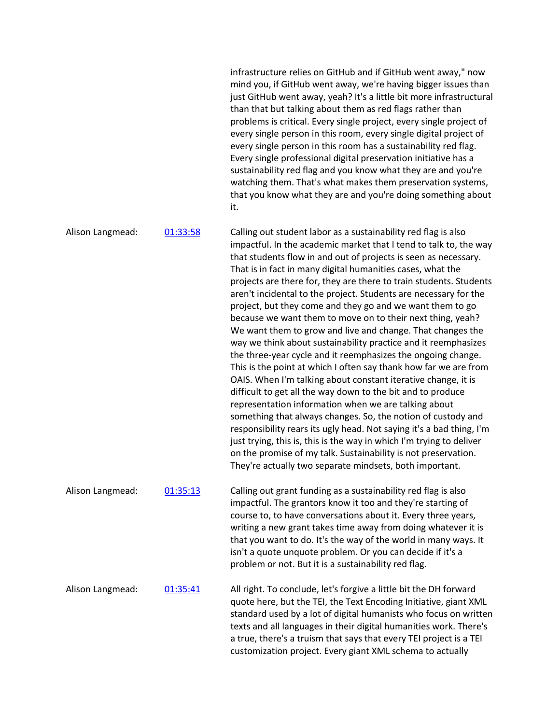infrastructure relies on GitHub and if GitHub went away," now mind you, if GitHub went away, we're having bigger issues than just GitHub went away, yeah? It's a little bit more infrastructural than that but talking about them as red flags rather than problems is critical. Every single project, every single project of every single person in this room, every single digital project of every single person in this room has a sustainability red flag. Every single professional digital preservation initiative has a sustainability red flag and you know what they are and you're watching them. That's what makes them preservation systems, that you know what they are and you're doing something about it.

Alison Langmead: 01:33:58 Calling out student labor as a sustainability red flag is also impactful. In the academic market that I tend to talk to, the way that students flow in and out of projects is seen as necessary. That is in fact in many digital humanities cases, what the projects are there for, they are there to train students. Students aren't incidental to the project. Students are necessary for the project, but they come and they go and we want them to go because we want them to move on to their next thing, yeah? We want them to grow and live and change. That changes the way we think about sustainability practice and it reemphasizes the three-year cycle and it reemphasizes the ongoing change. This is the point at which I often say thank how far we are from OAIS. When I'm talking about constant iterative change, it is difficult to get all the way down to the bit and to produce representation information when we are talking about something that always changes. So, the notion of custody and responsibility rears its ugly head. Not saying it's a bad thing, I'm just trying, this is, this is the way in which I'm trying to deliver on the promise of my talk. Sustainability is not preservation. They're actually two separate mindsets, both important. Alison Langmead: 01:35:13 Calling out grant funding as a sustainability red flag is also impactful. The grantors know it too and they're starting of course to, to have conversations about it. Every three years, writing a new grant takes time away from doing whatever it is that you want to do. It's the way of the world in many ways. It isn't a quote unquote problem. Or you can decide if it's a problem or not. But it is a sustainability red flag. Alison Langmead: 01:35:41 All right. To conclude, let's forgive a little bit the DH forward quote here, but the TEI, the Text Encoding Initiative, giant XML standard used by a lot of digital humanists who focus on written texts and all languages in their digital humanities work. There's a true, there's a truism that says that every TEI project is a TEI customization project. Every giant XML schema to actually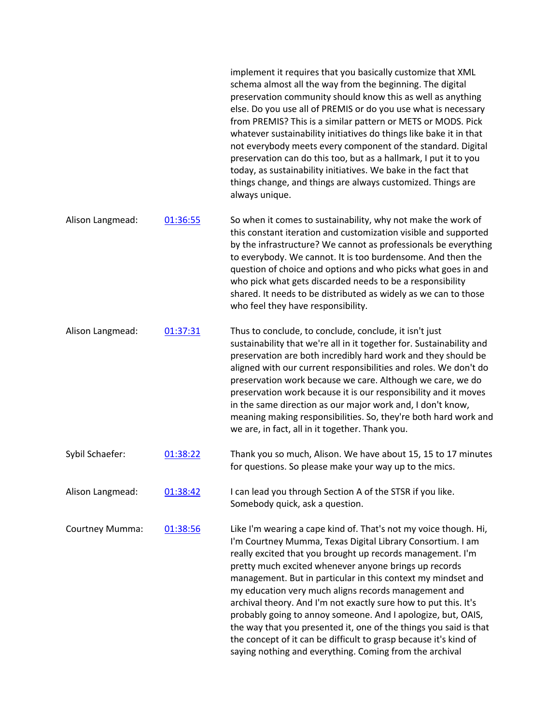|                  |          | implement it requires that you basically customize that XML<br>schema almost all the way from the beginning. The digital<br>preservation community should know this as well as anything<br>else. Do you use all of PREMIS or do you use what is necessary<br>from PREMIS? This is a similar pattern or METS or MODS. Pick<br>whatever sustainability initiatives do things like bake it in that<br>not everybody meets every component of the standard. Digital<br>preservation can do this too, but as a hallmark, I put it to you<br>today, as sustainability initiatives. We bake in the fact that<br>things change, and things are always customized. Things are<br>always unique.                               |
|------------------|----------|----------------------------------------------------------------------------------------------------------------------------------------------------------------------------------------------------------------------------------------------------------------------------------------------------------------------------------------------------------------------------------------------------------------------------------------------------------------------------------------------------------------------------------------------------------------------------------------------------------------------------------------------------------------------------------------------------------------------|
| Alison Langmead: | 01:36:55 | So when it comes to sustainability, why not make the work of<br>this constant iteration and customization visible and supported<br>by the infrastructure? We cannot as professionals be everything<br>to everybody. We cannot. It is too burdensome. And then the<br>question of choice and options and who picks what goes in and<br>who pick what gets discarded needs to be a responsibility<br>shared. It needs to be distributed as widely as we can to those<br>who feel they have responsibility.                                                                                                                                                                                                             |
| Alison Langmead: | 01:37:31 | Thus to conclude, to conclude, conclude, it isn't just<br>sustainability that we're all in it together for. Sustainability and<br>preservation are both incredibly hard work and they should be<br>aligned with our current responsibilities and roles. We don't do<br>preservation work because we care. Although we care, we do<br>preservation work because it is our responsibility and it moves<br>in the same direction as our major work and, I don't know,<br>meaning making responsibilities. So, they're both hard work and<br>we are, in fact, all in it together. Thank you.                                                                                                                             |
| Sybil Schaefer:  | 01:38:22 | Thank you so much, Alison. We have about 15, 15 to 17 minutes<br>for questions. So please make your way up to the mics.                                                                                                                                                                                                                                                                                                                                                                                                                                                                                                                                                                                              |
| Alison Langmead: | 01:38:42 | I can lead you through Section A of the STSR if you like.<br>Somebody quick, ask a question.                                                                                                                                                                                                                                                                                                                                                                                                                                                                                                                                                                                                                         |
| Courtney Mumma:  | 01:38:56 | Like I'm wearing a cape kind of. That's not my voice though. Hi,<br>I'm Courtney Mumma, Texas Digital Library Consortium. I am<br>really excited that you brought up records management. I'm<br>pretty much excited whenever anyone brings up records<br>management. But in particular in this context my mindset and<br>my education very much aligns records management and<br>archival theory. And I'm not exactly sure how to put this. It's<br>probably going to annoy someone. And I apologize, but, OAIS,<br>the way that you presented it, one of the things you said is that<br>the concept of it can be difficult to grasp because it's kind of<br>saying nothing and everything. Coming from the archival |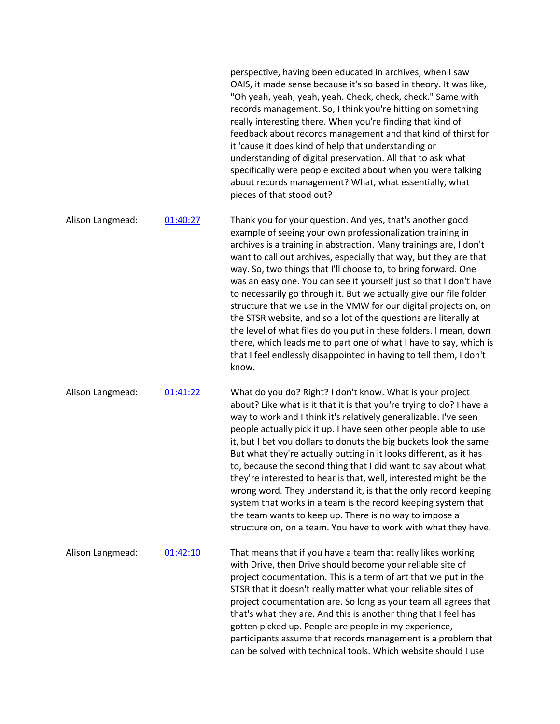perspective, having been educated in archives, when I saw OAIS, it made sense because it's so based in theory. It was like, "Oh yeah, yeah, yeah, yeah. Check, check, check." Same with records management. So, I think you're hitting on something really interesting there. When you're finding that kind of feedback about records management and that kind of thirst for it 'cause it does kind of help that understanding or understanding of digital preservation. All that to ask what specifically were people excited about when you were talking about records management? What, what essentially, what pieces of that stood out?

Alison Langmead: 01:40:27 Thank you for your question. And yes, that's another good example of seeing your own professionalization training in archives is a training in abstraction. Many trainings are, I don't want to call out archives, especially that way, but they are that way. So, two things that I'll choose to, to bring forward. One was an easy one. You can see it yourself just so that I don't have to necessarily go through it. But we actually give our file folder structure that we use in the VMW for our digital projects on, on the STSR website, and so a lot of the questions are literally at the level of what files do you put in these folders. I mean, down there, which leads me to part one of what I have to say, which is that I feel endlessly disappointed in having to tell them, I don't know.

Alison Langmead: 01:41:22 What do you do? Right? I don't know. What is your project about? Like what is it that it is that you're trying to do? I have a way to work and I think it's relatively generalizable. I've seen people actually pick it up. I have seen other people able to use it, but I bet you dollars to donuts the big buckets look the same. But what they're actually putting in it looks different, as it has to, because the second thing that I did want to say about what they're interested to hear is that, well, interested might be the wrong word. They understand it, is that the only record keeping system that works in a team is the record keeping system that the team wants to keep up. There is no way to impose a structure on, on a team. You have to work with what they have.

Alison Langmead:  $0.1:42:10$  That means that if you have a team that really likes working with Drive, then Drive should become your reliable site of project documentation. This is a term of art that we put in the STSR that it doesn't really matter what your reliable sites of project documentation are. So long as your team all agrees that that's what they are. And this is another thing that I feel has gotten picked up. People are people in my experience, participants assume that records management is a problem that can be solved with technical tools. Which website should I use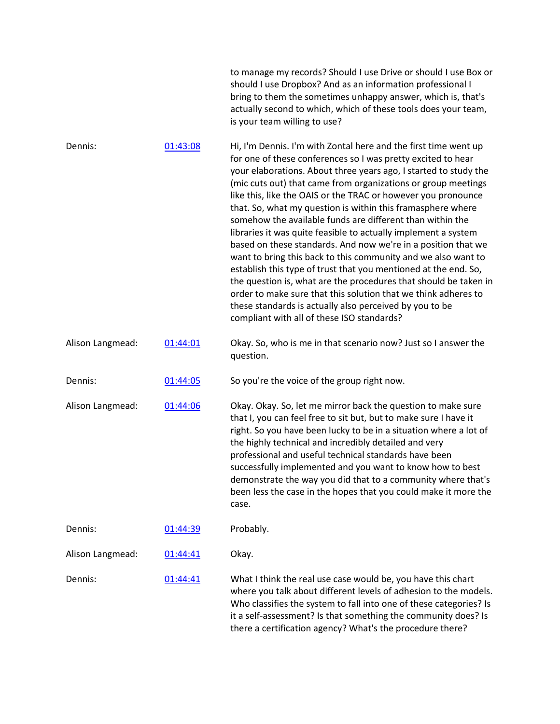|                  |          | to manage my records? Should I use Drive or should I use Box or<br>should I use Dropbox? And as an information professional I<br>bring to them the sometimes unhappy answer, which is, that's<br>actually second to which, which of these tools does your team,<br>is your team willing to use?                                                                                                                                                                                                                                                                                                                                                                                                                                                                                                                                                                                                                                                                                         |
|------------------|----------|-----------------------------------------------------------------------------------------------------------------------------------------------------------------------------------------------------------------------------------------------------------------------------------------------------------------------------------------------------------------------------------------------------------------------------------------------------------------------------------------------------------------------------------------------------------------------------------------------------------------------------------------------------------------------------------------------------------------------------------------------------------------------------------------------------------------------------------------------------------------------------------------------------------------------------------------------------------------------------------------|
| Dennis:          | 01:43:08 | Hi, I'm Dennis. I'm with Zontal here and the first time went up<br>for one of these conferences so I was pretty excited to hear<br>your elaborations. About three years ago, I started to study the<br>(mic cuts out) that came from organizations or group meetings<br>like this, like the OAIS or the TRAC or however you pronounce<br>that. So, what my question is within this framasphere where<br>somehow the available funds are different than within the<br>libraries it was quite feasible to actually implement a system<br>based on these standards. And now we're in a position that we<br>want to bring this back to this community and we also want to<br>establish this type of trust that you mentioned at the end. So,<br>the question is, what are the procedures that should be taken in<br>order to make sure that this solution that we think adheres to<br>these standards is actually also perceived by you to be<br>compliant with all of these ISO standards? |
| Alison Langmead: | 01:44:01 | Okay. So, who is me in that scenario now? Just so I answer the<br>question.                                                                                                                                                                                                                                                                                                                                                                                                                                                                                                                                                                                                                                                                                                                                                                                                                                                                                                             |
| Dennis:          | 01:44:05 | So you're the voice of the group right now.                                                                                                                                                                                                                                                                                                                                                                                                                                                                                                                                                                                                                                                                                                                                                                                                                                                                                                                                             |
| Alison Langmead: | 01:44:06 | Okay. Okay. So, let me mirror back the question to make sure<br>that I, you can feel free to sit but, but to make sure I have it<br>right. So you have been lucky to be in a situation where a lot of<br>the highly technical and incredibly detailed and very<br>professional and useful technical standards have been<br>successfully implemented and you want to know how to best<br>demonstrate the way you did that to a community where that's<br>been less the case in the hopes that you could make it more the<br>case.                                                                                                                                                                                                                                                                                                                                                                                                                                                        |
| Dennis:          | 01:44:39 | Probably.                                                                                                                                                                                                                                                                                                                                                                                                                                                                                                                                                                                                                                                                                                                                                                                                                                                                                                                                                                               |
| Alison Langmead: | 01:44:41 | Okay.                                                                                                                                                                                                                                                                                                                                                                                                                                                                                                                                                                                                                                                                                                                                                                                                                                                                                                                                                                                   |
| Dennis:          | 01:44:41 | What I think the real use case would be, you have this chart<br>where you talk about different levels of adhesion to the models.<br>Who classifies the system to fall into one of these categories? Is<br>it a self-assessment? Is that something the community does? Is<br>there a certification agency? What's the procedure there?                                                                                                                                                                                                                                                                                                                                                                                                                                                                                                                                                                                                                                                   |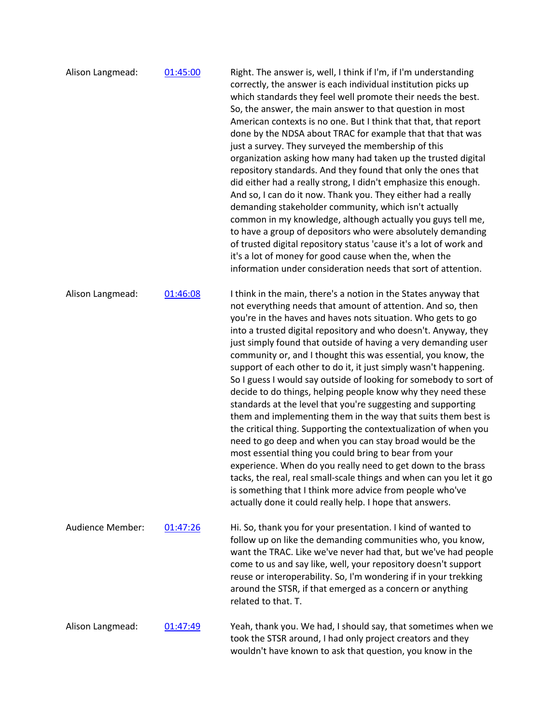| Alison Langmead: | 01:45:00 | Right. The answer is, well, I think if I'm, if I'm understanding<br>correctly, the answer is each individual institution picks up<br>which standards they feel well promote their needs the best.<br>So, the answer, the main answer to that question in most<br>American contexts is no one. But I think that that, that report<br>done by the NDSA about TRAC for example that that that was<br>just a survey. They surveyed the membership of this<br>organization asking how many had taken up the trusted digital<br>repository standards. And they found that only the ones that<br>did either had a really strong, I didn't emphasize this enough.<br>And so, I can do it now. Thank you. They either had a really<br>demanding stakeholder community, which isn't actually<br>common in my knowledge, although actually you guys tell me,<br>to have a group of depositors who were absolutely demanding<br>of trusted digital repository status 'cause it's a lot of work and<br>it's a lot of money for good cause when the, when the<br>information under consideration needs that sort of attention.                                                                                        |
|------------------|----------|---------------------------------------------------------------------------------------------------------------------------------------------------------------------------------------------------------------------------------------------------------------------------------------------------------------------------------------------------------------------------------------------------------------------------------------------------------------------------------------------------------------------------------------------------------------------------------------------------------------------------------------------------------------------------------------------------------------------------------------------------------------------------------------------------------------------------------------------------------------------------------------------------------------------------------------------------------------------------------------------------------------------------------------------------------------------------------------------------------------------------------------------------------------------------------------------------------|
| Alison Langmead: | 01:46:08 | I think in the main, there's a notion in the States anyway that<br>not everything needs that amount of attention. And so, then<br>you're in the haves and haves nots situation. Who gets to go<br>into a trusted digital repository and who doesn't. Anyway, they<br>just simply found that outside of having a very demanding user<br>community or, and I thought this was essential, you know, the<br>support of each other to do it, it just simply wasn't happening.<br>So I guess I would say outside of looking for somebody to sort of<br>decide to do things, helping people know why they need these<br>standards at the level that you're suggesting and supporting<br>them and implementing them in the way that suits them best is<br>the critical thing. Supporting the contextualization of when you<br>need to go deep and when you can stay broad would be the<br>most essential thing you could bring to bear from your<br>experience. When do you really need to get down to the brass<br>tacks, the real, real small-scale things and when can you let it go<br>is something that I think more advice from people who've<br>actually done it could really help. I hope that answers. |
| Audience Member: | 01:47:26 | Hi. So, thank you for your presentation. I kind of wanted to<br>follow up on like the demanding communities who, you know,<br>want the TRAC. Like we've never had that, but we've had people<br>come to us and say like, well, your repository doesn't support<br>reuse or interoperability. So, I'm wondering if in your trekking<br>around the STSR, if that emerged as a concern or anything<br>related to that. T.                                                                                                                                                                                                                                                                                                                                                                                                                                                                                                                                                                                                                                                                                                                                                                                  |
| Alison Langmead: | 01:47:49 | Yeah, thank you. We had, I should say, that sometimes when we<br>took the STSR around, I had only project creators and they<br>wouldn't have known to ask that question, you know in the                                                                                                                                                                                                                                                                                                                                                                                                                                                                                                                                                                                                                                                                                                                                                                                                                                                                                                                                                                                                                |